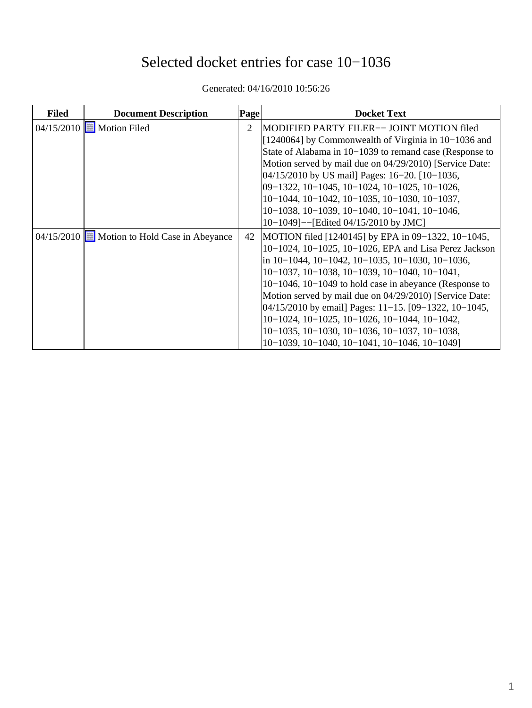# Selected docket entries for case 10−1036

| <b>Filed</b> | <b>Document Description</b>                | Page | <b>Docket Text</b>                                             |
|--------------|--------------------------------------------|------|----------------------------------------------------------------|
|              | 04/15/2010 <b>E</b> Motion Filed           | 2    | MODIFIED PARTY FILER-- JOINT MOTION filed                      |
|              |                                            |      | [1240064] by Commonwealth of Virginia in 10–1036 and           |
|              |                                            |      | State of Alabama in 10–1039 to remand case (Response to        |
|              |                                            |      | Motion served by mail due on 04/29/2010) [Service Date:        |
|              |                                            |      | 04/15/2010 by US mail Pages: 16–20. [10–1036,                  |
|              |                                            |      | 09-1322, 10-1045, 10-1024, 10-1025, 10-1026,                   |
|              |                                            |      | $10-1044$ , $10-1042$ , $10-1035$ , $10-1030$ , $10-1037$ ,    |
|              |                                            |      | $10-1038$ , $10-1039$ , $10-1040$ , $10-1041$ , $10-1046$ ,    |
|              |                                            |      | 10–1049]--[Edited 04/15/2010 by JMC]                           |
|              | 04/15/2010 Motion to Hold Case in Abeyance | 42   | MOTION filed [1240145] by EPA in 09–1322, 10–1045,             |
|              |                                            |      | 10-1024, 10-1025, 10-1026, EPA and Lisa Perez Jackson          |
|              |                                            |      | in $10-1044$ , $10-1042$ , $10-1035$ , $10-1030$ , $10-1036$ , |
|              |                                            |      | 10-1037, 10-1038, 10-1039, 10-1040, 10-1041,                   |
|              |                                            |      | $10-1046$ , $10-1049$ to hold case in abeyance (Response to    |
|              |                                            |      | Motion served by mail due on 04/29/2010) [Service Date:        |
|              |                                            |      | $[04/15/2010$ by email] Pages: 11–15. $[09-1322, 10-1045,$     |
|              |                                            |      | $10-1024$ , $10-1025$ , $10-1026$ , $10-1044$ , $10-1042$ ,    |
|              |                                            |      | $10-1035$ , $10-1030$ , $10-1036$ , $10-1037$ , $10-1038$ ,    |
|              |                                            |      | 10-1039, 10-1040, 10-1041, 10-1046, 10-1049]                   |

Generated: 04/16/2010 10:56:26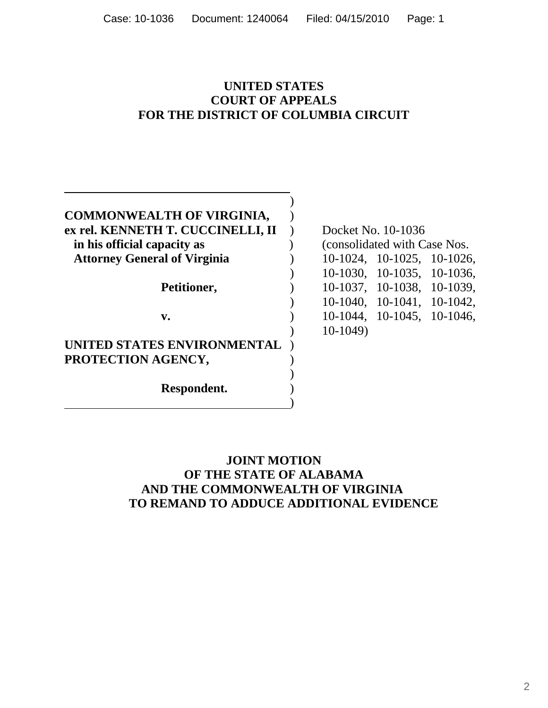#### **UNITED STATES COURT OF APPEALS FOR THE DISTRICT OF COLUMBIA CIRCUIT**

| <b>COMMONWEALTH OF VIRGINIA,</b>    |  |
|-------------------------------------|--|
| ex rel. KENNETH T. CUCCINELLI, II   |  |
| in his official capacity as         |  |
|                                     |  |
| <b>Attorney General of Virginia</b> |  |
|                                     |  |
|                                     |  |
| Petitioner,                         |  |
|                                     |  |
| v.                                  |  |
|                                     |  |
|                                     |  |
| UNITED STATES ENVIRONMENTAL         |  |
|                                     |  |
| PROTECTION AGENCY,                  |  |
|                                     |  |
|                                     |  |
| Respondent.                         |  |

**Docket No. 10-1036 in his official capacity as** ) (consolidated with Case Nos.  **Attorney General of Virginia** ) 10-1024, 10-1025, 10-1026, ) 10-1030, 10-1035, 10-1036, **Petitioner,** ) 10-1037, 10-1038, 10-1039, ) 10-1040, 10-1041, 10-1042, **v.** ) 10-1044,10-1045, 10-1046, ) 10-1049)

#### **JOINT MOTION OF THE STATE OF ALABAMA AND THE COMMONWEALTH OF VIRGINIA TO REMAND TO ADDUCE ADDITIONAL EVIDENCE**

)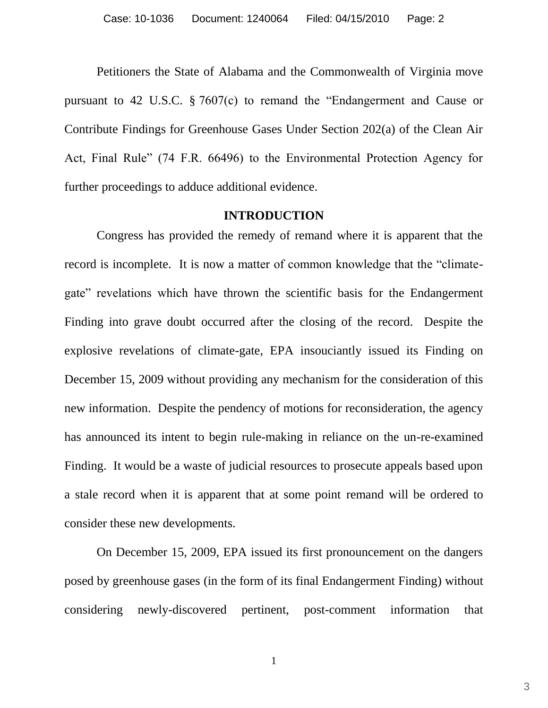Petitioners the State of Alabama and the Commonwealth of Virginia move pursuant to 42 U.S.C.  $\S 7607(c)$  to remand the "Endangerment and Cause or Contribute Findings for Greenhouse Gases Under Section 202(a) of the Clean Air Act, Final Rule" (74 F.R. 66496) to the Environmental Protection Agency for further proceedings to adduce additional evidence.

#### **INTRODUCTION**

Congress has provided the remedy of remand where it is apparent that the record is incomplete. It is now a matter of common knowledge that the "climategate" revelations which have thrown the scientific basis for the Endangerment Finding into grave doubt occurred after the closing of the record. Despite the explosive revelations of climate-gate, EPA insouciantly issued its Finding on December 15, 2009 without providing any mechanism for the consideration of this new information. Despite the pendency of motions for reconsideration, the agency has announced its intent to begin rule-making in reliance on the un-re-examined Finding. It would be a waste of judicial resources to prosecute appeals based upon a stale record when it is apparent that at some point remand will be ordered to consider these new developments.

On December 15, 2009, EPA issued its first pronouncement on the dangers posed by greenhouse gases (in the form of its final Endangerment Finding) without considering newly-discovered pertinent, post-comment information that

1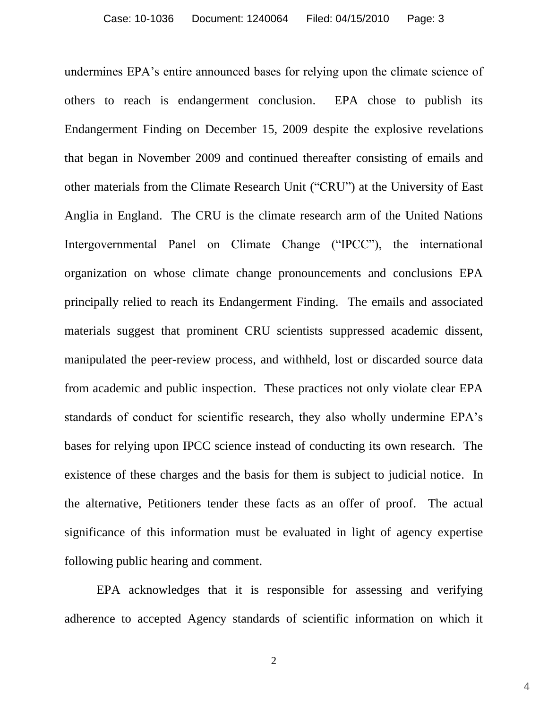undermines EPA's entire announced bases for relying upon the climate science of others to reach is endangerment conclusion. EPA chose to publish its Endangerment Finding on December 15, 2009 despite the explosive revelations that began in November 2009 and continued thereafter consisting of emails and other materials from the Climate Research Unit ("CRU") at the University of East Anglia in England. The CRU is the climate research arm of the United Nations Intergovernmental Panel on Climate Change ("IPCC"), the international organization on whose climate change pronouncements and conclusions EPA principally relied to reach its Endangerment Finding. The emails and associated materials suggest that prominent CRU scientists suppressed academic dissent, manipulated the peer-review process, and withheld, lost or discarded source data from academic and public inspection. These practices not only violate clear EPA standards of conduct for scientific research, they also wholly undermine EPA's bases for relying upon IPCC science instead of conducting its own research. The existence of these charges and the basis for them is subject to judicial notice. In the alternative, Petitioners tender these facts as an offer of proof. The actual significance of this information must be evaluated in light of agency expertise following public hearing and comment.

EPA acknowledges that it is responsible for assessing and verifying adherence to accepted Agency standards of scientific information on which it

2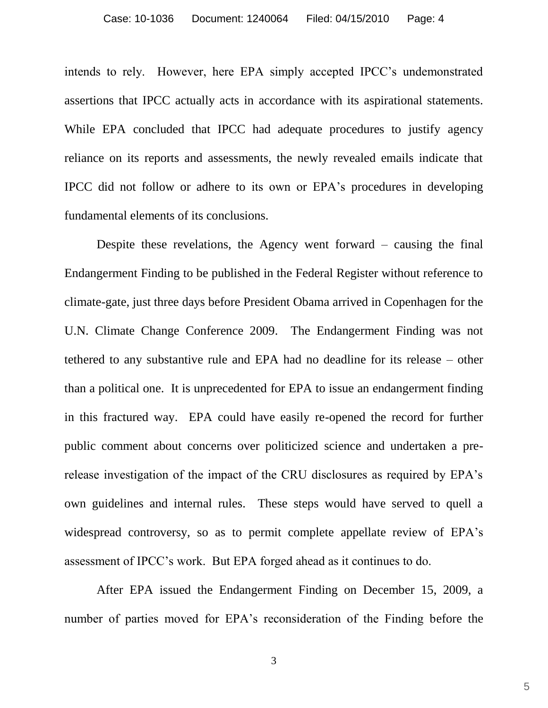intends to rely. However, here EPA simply accepted IPCC's undemonstrated assertions that IPCC actually acts in accordance with its aspirational statements. While EPA concluded that IPCC had adequate procedures to justify agency reliance on its reports and assessments, the newly revealed emails indicate that IPCC did not follow or adhere to its own or EPA's procedures in developing fundamental elements of its conclusions.

Despite these revelations, the Agency went forward – causing the final Endangerment Finding to be published in the Federal Register without reference to climate-gate, just three days before President Obama arrived in Copenhagen for the U.N. Climate Change Conference 2009. The Endangerment Finding was not tethered to any substantive rule and EPA had no deadline for its release – other than a political one. It is unprecedented for EPA to issue an endangerment finding in this fractured way. EPA could have easily re-opened the record for further public comment about concerns over politicized science and undertaken a prerelease investigation of the impact of the CRU disclosures as required by EPA's own guidelines and internal rules. These steps would have served to quell a widespread controversy, so as to permit complete appellate review of EPA's assessment of IPCC's work. But EPA forged ahead as it continues to do.

After EPA issued the Endangerment Finding on December 15, 2009, a number of parties moved for EPA's reconsideration of the Finding before the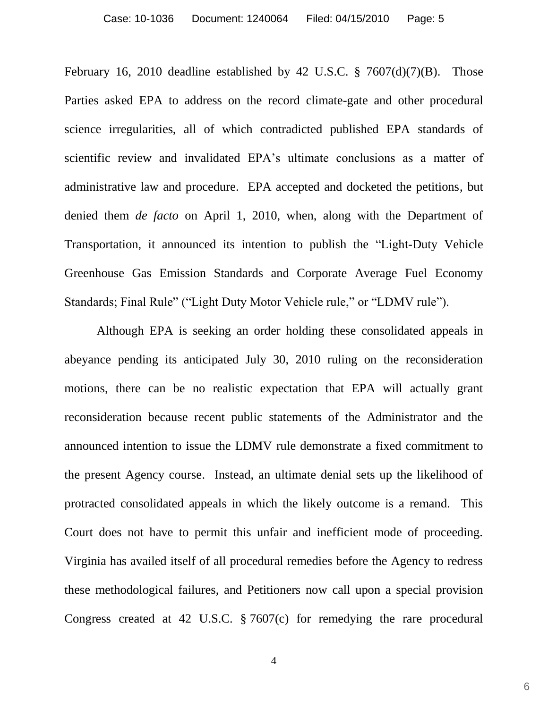February 16, 2010 deadline established by 42 U.S.C.  $\S$  7607(d)(7)(B). Those Parties asked EPA to address on the record climate-gate and other procedural science irregularities, all of which contradicted published EPA standards of scientific review and invalidated EPA's ultimate conclusions as a matter of administrative law and procedure. EPA accepted and docketed the petitions, but denied them *de facto* on April 1, 2010, when, along with the Department of Transportation, it announced its intention to publish the "Light-Duty Vehicle" Greenhouse Gas Emission Standards and Corporate Average Fuel Economy Standards; Final Rule" ("Light Duty Motor Vehicle rule," or "LDMV rule").

Although EPA is seeking an order holding these consolidated appeals in abeyance pending its anticipated July 30, 2010 ruling on the reconsideration motions, there can be no realistic expectation that EPA will actually grant reconsideration because recent public statements of the Administrator and the announced intention to issue the LDMV rule demonstrate a fixed commitment to the present Agency course. Instead, an ultimate denial sets up the likelihood of protracted consolidated appeals in which the likely outcome is a remand. This Court does not have to permit this unfair and inefficient mode of proceeding. Virginia has availed itself of all procedural remedies before the Agency to redress these methodological failures, and Petitioners now call upon a special provision Congress created at 42 U.S.C. § 7607(c) for remedying the rare procedural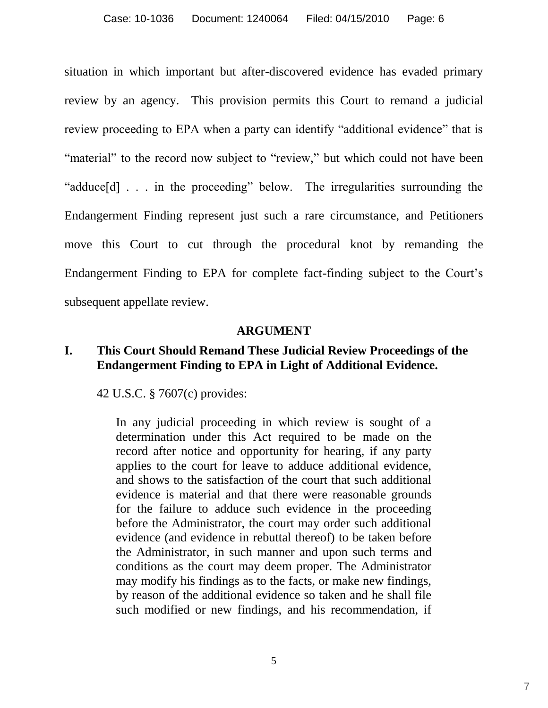situation in which important but after-discovered evidence has evaded primary review by an agency. This provision permits this Court to remand a judicial review proceeding to EPA when a party can identify "additional evidence" that is "material" to the record now subject to "review," but which could not have been "adduce[d] . . . in the proceeding" below. The irregularities surrounding the Endangerment Finding represent just such a rare circumstance, and Petitioners move this Court to cut through the procedural knot by remanding the Endangerment Finding to EPA for complete fact-finding subject to the Court's subsequent appellate review.

#### **ARGUMENT**

## **I. This Court Should Remand These Judicial Review Proceedings of the Endangerment Finding to EPA in Light of Additional Evidence.**

42 U.S.C. § 7607(c) provides:

In any judicial proceeding in which review is sought of a determination under this Act required to be made on the record after notice and opportunity for hearing, if any party applies to the court for leave to adduce additional evidence, and shows to the satisfaction of the court that such additional evidence is material and that there were reasonable grounds for the failure to adduce such evidence in the proceeding before the Administrator, the court may order such additional evidence (and evidence in rebuttal thereof) to be taken before the Administrator, in such manner and upon such terms and conditions as the court may deem proper. The Administrator may modify his findings as to the facts, or make new findings, by reason of the additional evidence so taken and he shall file such modified or new findings, and his recommendation, if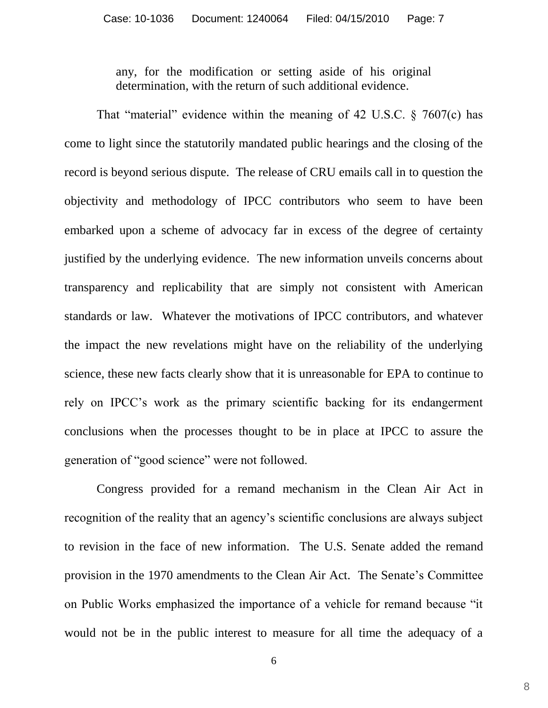any, for the modification or setting aside of his original determination, with the return of such additional evidence.

That "material" evidence within the meaning of 42 U.S.C.  $\frac{1}{2}$  7607(c) has come to light since the statutorily mandated public hearings and the closing of the record is beyond serious dispute. The release of CRU emails call in to question the objectivity and methodology of IPCC contributors who seem to have been embarked upon a scheme of advocacy far in excess of the degree of certainty justified by the underlying evidence. The new information unveils concerns about transparency and replicability that are simply not consistent with American standards or law. Whatever the motivations of IPCC contributors, and whatever the impact the new revelations might have on the reliability of the underlying science, these new facts clearly show that it is unreasonable for EPA to continue to rely on IPCC's work as the primary scientific backing for its endangerment conclusions when the processes thought to be in place at IPCC to assure the generation of "good science" were not followed.

Congress provided for a remand mechanism in the Clean Air Act in recognition of the reality that an agency's scientific conclusions are always subject to revision in the face of new information. The U.S. Senate added the remand provision in the 1970 amendments to the Clean Air Act. The Senate's Committee on Public Works emphasized the importance of a vehicle for remand because "it" would not be in the public interest to measure for all time the adequacy of a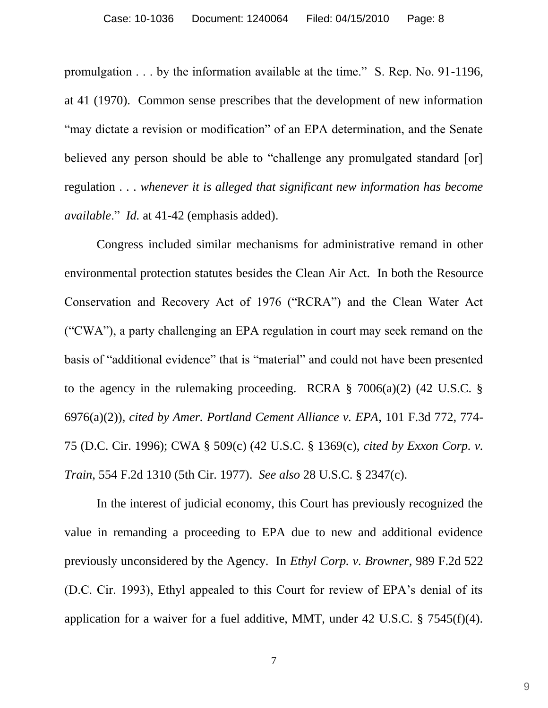promulgation . . . by the information available at the time." S. Rep. No. 91-1196, at 41 (1970). Common sense prescribes that the development of new information "may dictate a revision or modification" of an EPA determination, and the Senate believed any person should be able to "challenge any promulgated standard [or] regulation . . . *whenever it is alleged that significant new information has become available.*" *Id.* at 41-42 (emphasis added).

Congress included similar mechanisms for administrative remand in other environmental protection statutes besides the Clean Air Act. In both the Resource Conservation and Recovery Act of 1976 ("RCRA") and the Clean Water Act (―CWA‖), a party challenging an EPA regulation in court may seek remand on the basis of "additional evidence" that is "material" and could not have been presented to the agency in the rulemaking proceeding. RCRA  $\S$  7006(a)(2) (42 U.S.C.  $\S$ 6976(a)(2)), *cited by Amer. Portland Cement Alliance v. EPA*, 101 F.3d 772, 774- 75 (D.C. Cir. 1996); CWA § 509(c) (42 U.S.C. § 1369(c), *cited by Exxon Corp. v. Train*, 554 F.2d 1310 (5th Cir. 1977). *See also* 28 U.S.C. § 2347(c).

In the interest of judicial economy, this Court has previously recognized the value in remanding a proceeding to EPA due to new and additional evidence previously unconsidered by the Agency. In *Ethyl Corp. v. Browner*, 989 F.2d 522 (D.C. Cir. 1993), Ethyl appealed to this Court for review of EPA's denial of its application for a waiver for a fuel additive, MMT, under 42 U.S.C. § 7545(f)(4).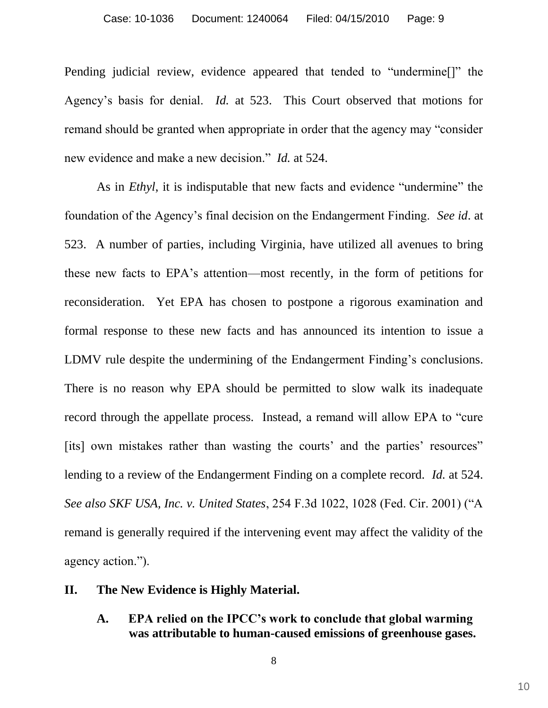Pending judicial review, evidence appeared that tended to "undermine<sup>[]"</sup> the Agency's basis for denial. *Id.* at 523. This Court observed that motions for remand should be granted when appropriate in order that the agency may "consider" new evidence and make a new decision." *Id.* at 524.

As in *Ethyl*, it is indisputable that new facts and evidence "undermine" the foundation of the Agency's final decision on the Endangerment Finding. *See id*. at 523.A number of parties, including Virginia, have utilized all avenues to bring these new facts to EPA's attention—most recently, in the form of petitions for reconsideration. Yet EPA has chosen to postpone a rigorous examination and formal response to these new facts and has announced its intention to issue a LDMV rule despite the undermining of the Endangerment Finding's conclusions. There is no reason why EPA should be permitted to slow walk its inadequate record through the appellate process. Instead, a remand will allow EPA to "cure" [its] own mistakes rather than wasting the courts' and the parties' resources" lending to a review of the Endangerment Finding on a complete record. *Id.* at 524. *See also SKF USA, Inc. v. United States, 254 F.3d 1022, 1028 (Fed. Cir. 2001) ("A* remand is generally required if the intervening event may affect the validity of the agency action.").

#### **II. The New Evidence is Highly Material.**

**A. EPA relied on the IPCC's work to conclude that global warming was attributable to human-caused emissions of greenhouse gases.**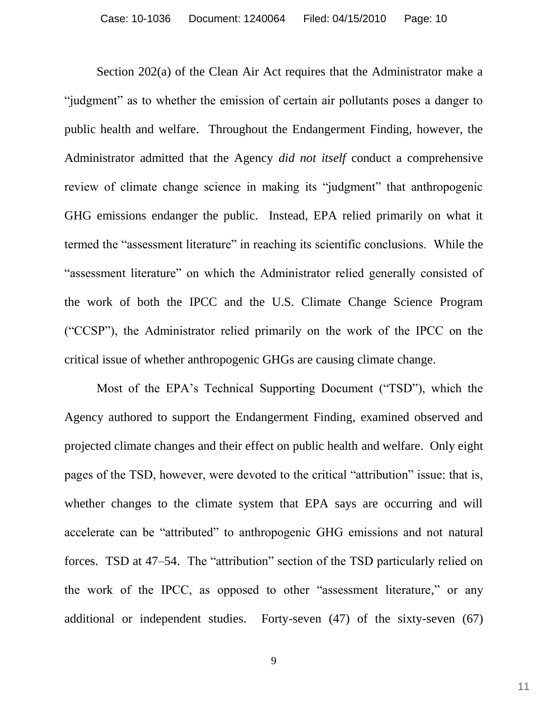Section 202(a) of the Clean Air Act requires that the Administrator make a "judgment" as to whether the emission of certain air pollutants poses a danger to public health and welfare. Throughout the Endangerment Finding, however, the Administrator admitted that the Agency *did not itself* conduct a comprehensive review of climate change science in making its "judgment" that anthropogenic GHG emissions endanger the public. Instead, EPA relied primarily on what it termed the "assessment literature" in reaching its scientific conclusions. While the "assessment literature" on which the Administrator relied generally consisted of the work of both the IPCC and the U.S. Climate Change Science Program (―CCSP‖), the Administrator relied primarily on the work of the IPCC on the critical issue of whether anthropogenic GHGs are causing climate change.

Most of the EPA's Technical Supporting Document ("TSD"), which the Agency authored to support the Endangerment Finding, examined observed and projected climate changes and their effect on public health and welfare. Only eight pages of the TSD, however, were devoted to the critical "attribution" issue: that is, whether changes to the climate system that EPA says are occurring and will accelerate can be "attributed" to anthropogenic GHG emissions and not natural forces. TSD at 47–54. The "attribution" section of the TSD particularly relied on the work of the IPCC, as opposed to other "assessment literature," or any additional or independent studies. Forty-seven (47) of the sixty-seven (67)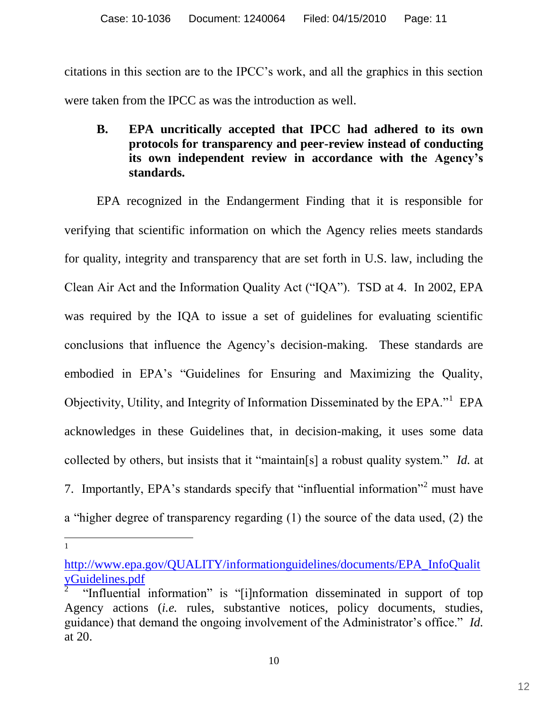citations in this section are to the IPCC's work, and all the graphics in this section were taken from the IPCC as was the introduction as well.

## **B. EPA uncritically accepted that IPCC had adhered to its own protocols for transparency and peer-review instead of conducting its own independent review in accordance with the Agency's standards.**

EPA recognized in the Endangerment Finding that it is responsible for verifying that scientific information on which the Agency relies meets standards for quality, integrity and transparency that are set forth in U.S. law, including the Clean Air Act and the Information Quality Act ("IQA"). TSD at 4. In 2002, EPA was required by the IQA to issue a set of guidelines for evaluating scientific conclusions that influence the Agency's decision-making. These standards are embodied in EPA's "Guidelines for Ensuring and Maximizing the Quality, Objectivity, Utility, and Integrity of Information Disseminated by the EPA." EPA acknowledges in these Guidelines that, in decision-making, it uses some data collected by others, but insists that it "maintain[s] a robust quality system." *Id.* at 7. Importantly, EPA's standards specify that "influential information"<sup>2</sup> must have a "higher degree of transparency regarding  $(1)$  the source of the data used,  $(2)$  the

[http://www.epa.gov/QUALITY/informationguidelines/documents/EPA\\_InfoQualit](www.epa.gov/QUALITY/informationguidelines/documents/EPA_InfoQualityGuidelines.pdf) [yGuidelines.pdf](www.epa.gov/QUALITY/informationguidelines/documents/EPA_InfoQualityGuidelines.pdf)

<sup>2</sup> "Influential information" is "[i]nformation disseminated in support of top Agency actions (*i.e.* rules, substantive notices, policy documents, studies, guidance) that demand the ongoing involvement of the Administrator's office." *Id.* at 20.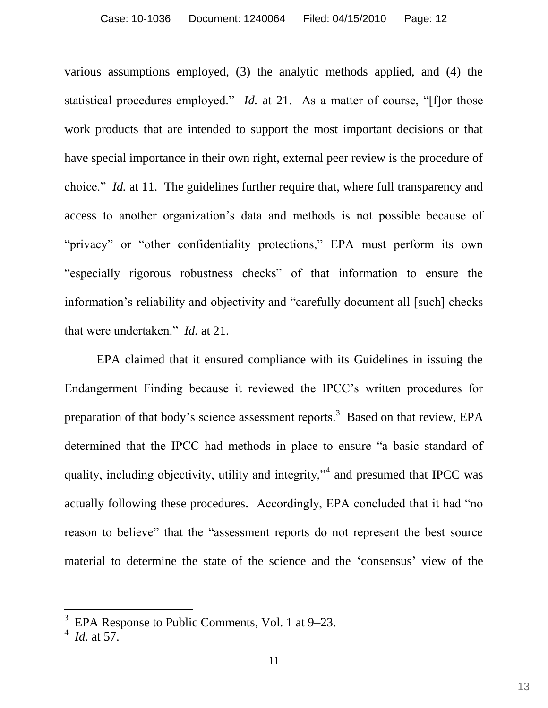various assumptions employed, (3) the analytic methods applied, and (4) the statistical procedures employed." *Id.* at 21. As a matter of course, "[f]or those work products that are intended to support the most important decisions or that have special importance in their own right, external peer review is the procedure of choice." *Id.* at 11. The guidelines further require that, where full transparency and access to another organization's data and methods is not possible because of "privacy" or "other confidentiality protections," EPA must perform its own "especially rigorous robustness checks" of that information to ensure the information's reliability and objectivity and "carefully document all [such] checks that were undertaken." *Id.* at 21.

EPA claimed that it ensured compliance with its Guidelines in issuing the Endangerment Finding because it reviewed the IPCC's written procedures for preparation of that body's science assessment reports.<sup>3</sup> Based on that review, EPA determined that the IPCC had methods in place to ensure "a basic standard of quality, including objectivity, utility and integrity,"<sup>4</sup> and presumed that IPCC was actually following these procedures. Accordingly, EPA concluded that it had "no reason to believe" that the "assessment reports do not represent the best source material to determine the state of the science and the 'consensus' view of the

<sup>3</sup> EPA Response to Public Comments, Vol. 1 at 9–23.

<sup>4</sup> *Id.* at 57.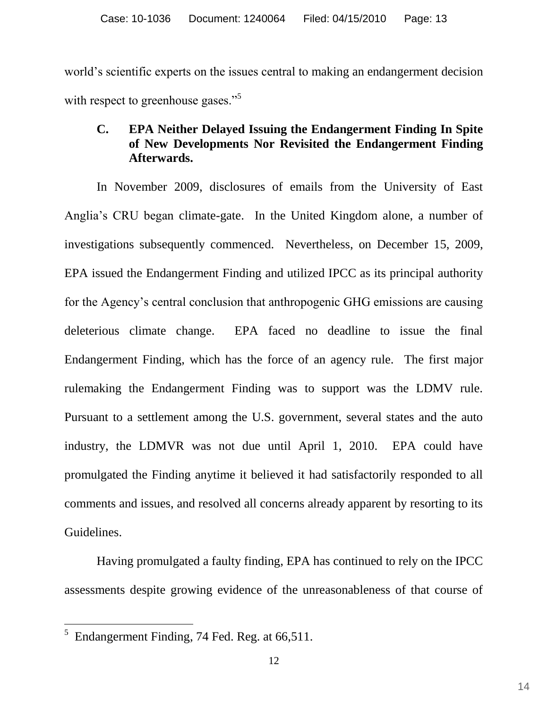world's scientific experts on the issues central to making an endangerment decision with respect to greenhouse gases."<sup>5</sup>

## **C. EPA Neither Delayed Issuing the Endangerment Finding In Spite of New Developments Nor Revisited the Endangerment Finding Afterwards.**

In November 2009, disclosures of emails from the University of East Anglia's CRU began climate-gate. In the United Kingdom alone, a number of investigations subsequently commenced. Nevertheless, on December 15, 2009, EPA issued the Endangerment Finding and utilized IPCC as its principal authority for the Agency's central conclusion that anthropogenic GHG emissions are causing deleterious climate change. EPA faced no deadline to issue the final Endangerment Finding, which has the force of an agency rule. The first major rulemaking the Endangerment Finding was to support was the LDMV rule. Pursuant to a settlement among the U.S. government, several states and the auto industry, the LDMVR was not due until April 1, 2010. EPA could have promulgated the Finding anytime it believed it had satisfactorily responded to all comments and issues, and resolved all concerns already apparent by resorting to its Guidelines.

Having promulgated a faulty finding, EPA has continued to rely on the IPCC assessments despite growing evidence of the unreasonableness of that course of

<sup>5</sup> Endangerment Finding, 74 Fed. Reg. at 66,511.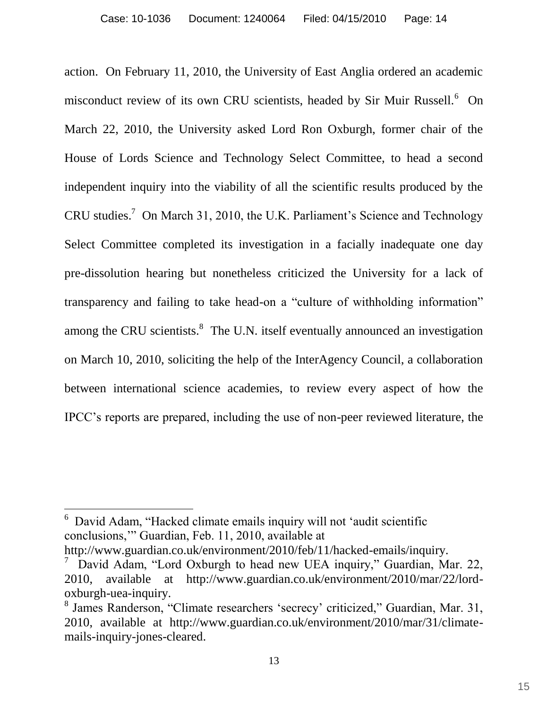action. On February 11, 2010, the University of East Anglia ordered an academic misconduct review of its own CRU scientists, headed by Sir Muir Russell.<sup>6</sup> On March 22, 2010, the University asked Lord Ron Oxburgh, former chair of the House of Lords Science and Technology Select Committee, to head a second independent inquiry into the viability of all the scientific results produced by the CRU studies.<sup>7</sup> On March 31, 2010, the U.K. Parliament's Science and Technology Select Committee completed its investigation in a facially inadequate one day pre-dissolution hearing but nonetheless criticized the University for a lack of transparency and failing to take head-on a "culture of withholding information" among the CRU scientists. ${}^{8}$  The U.N. itself eventually announced an investigation on March 10, 2010, soliciting the help of the InterAgency Council, a collaboration between international science academies, to review every aspect of how the IPCC's reports are prepared, including the use of non-peer reviewed literature, the

6 David Adam, "Hacked climate emails inquiry will not 'audit scientific conclusions," Guardian, Feb. 11, 2010, available at

 $\overline{a}$ 

http://www.guardian.co.uk/environment/2010/feb/11/hacked-emails/inquiry.

<sup>7</sup> David Adam, "Lord Oxburgh to head new UEA inquiry," Guardian, Mar. 22, 2010, available at http://www.guardian.co.uk/environment/2010/mar/22/lordoxburgh-uea-inquiry.

<sup>&</sup>lt;sup>8</sup> James Randerson, "Climate researchers 'secrecy' criticized," Guardian, Mar. 31, 2010, available at http://www.guardian.co.uk/environment/2010/mar/31/climatemails-inquiry-jones-cleared.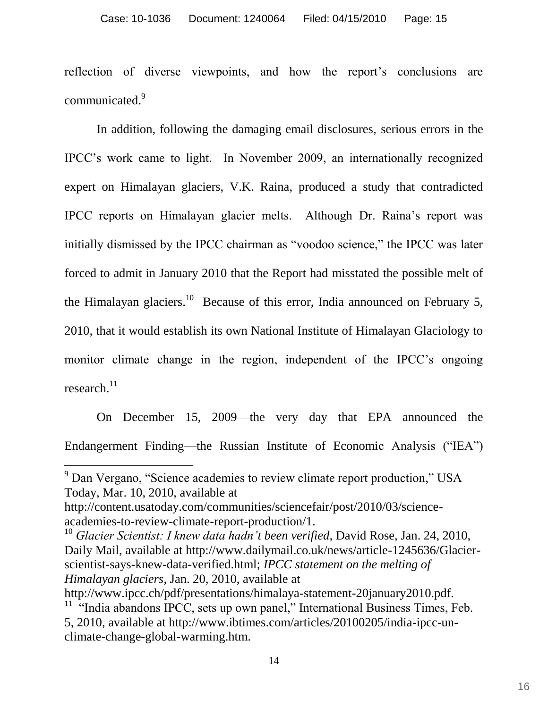reflection of diverse viewpoints, and how the report's conclusions are communicated.<sup>9</sup>

In addition, following the damaging email disclosures, serious errors in the IPCC's work came to light. In November 2009, an internationally recognized expert on Himalayan glaciers, V.K. Raina, produced a study that contradicted IPCC reports on Himalayan glacier melts. Although Dr. Raina's report was initially dismissed by the IPCC chairman as "voodoo science," the IPCC was later forced to admit in January 2010 that the Report had misstated the possible melt of the Himalayan glaciers.<sup>10</sup> Because of this error, India announced on February 5, 2010, that it would establish its own National Institute of Himalayan Glaciology to monitor climate change in the region, independent of the IPCC's ongoing research. $^{11}$ 

On December 15, 2009—the very day that EPA announced the Endangerment Finding—the Russian Institute of Economic Analysis ("IEA")

<sup>&</sup>lt;sup>9</sup> Dan Vergano, "Science academies to review climate report production," USA Today, Mar. 10, 2010, available at

[http://content.usatoday.com/communities/sciencefair/post/2010/03/science](http://content.usatoday.com/communities/sciencefair/post/2010/03/science-academies-to-review-climate-report-production/1)[academies-to-review-climate-report-production/1.](http://content.usatoday.com/communities/sciencefair/post/2010/03/science-academies-to-review-climate-report-production/1)

<sup>10</sup> *Glacier Scientist: I knew data hadn't been verified*, David Rose, Jan. 24, 2010, Daily Mail, available at http://www.dailymail.co.uk/news/article-1245636/Glacierscientist-says-knew-data-verified.html; *IPCC statement on the melting of Himalayan glaciers*, Jan. 20, 2010, available at

http://www.ipcc.ch/pdf/presentations/himalaya-statement-20january2010.pdf. <sup>11</sup> "India abandons IPCC, sets up own panel," International Business Times, Feb. 5, 2010, available at [http://www.ibtimes.com/articles/20100205/india-ipcc-un](http://www.ibtimes.com/articles/20100205/india-ipcc-un-climate-change-global-warming.htm)[climate-change-global-warming.htm.](http://www.ibtimes.com/articles/20100205/india-ipcc-un-climate-change-global-warming.htm)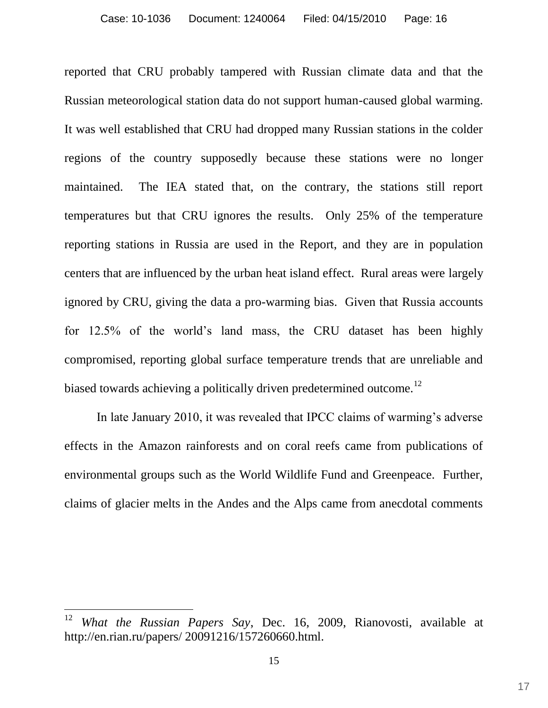reported that CRU probably tampered with Russian climate data and that the Russian meteorological station data do not support human-caused global warming. It was well established that CRU had dropped many Russian stations in the colder regions of the country supposedly because these stations were no longer maintained. The IEA stated that, on the contrary, the stations still report temperatures but that CRU ignores the results. Only 25% of the temperature reporting stations in Russia are used in the Report, and they are in population centers that are influenced by the urban heat island effect. Rural areas were largely ignored by CRU, giving the data a pro-warming bias. Given that Russia accounts for 12.5% of the world's land mass, the CRU dataset has been highly compromised, reporting global surface temperature trends that are unreliable and biased towards achieving a politically driven predetermined outcome.<sup>12</sup>

In late January 2010, it was revealed that IPCC claims of warming's adverse effects in the Amazon rainforests and on coral reefs came from publications of environmental groups such as the World Wildlife Fund and Greenpeace. Further, claims of glacier melts in the Andes and the Alps came from anecdotal comments

<sup>12</sup> *What the Russian Papers Say*, Dec. 16, 2009, Rianovosti, available at http://en.rian.ru/papers/ 20091216/157260660.html.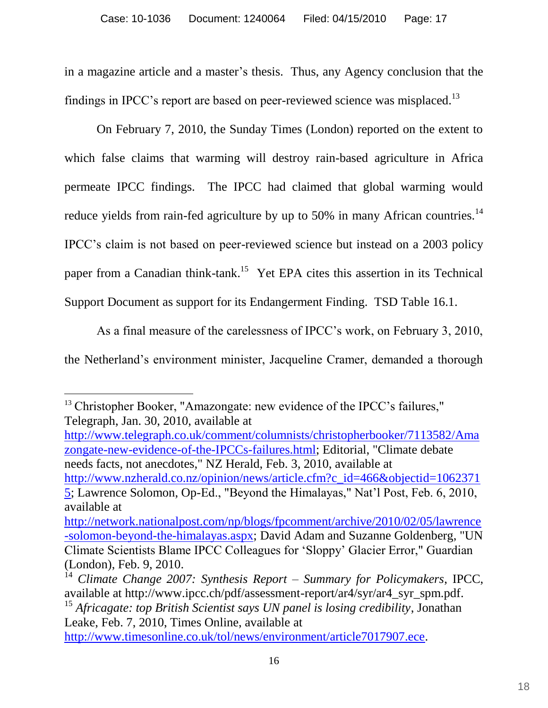in a magazine article and a master's thesis. Thus, any Agency conclusion that the findings in IPCC's report are based on peer-reviewed science was misplaced.<sup>13</sup>

On February 7, 2010, the Sunday Times (London) reported on the extent to which false claims that warming will destroy rain-based agriculture in Africa permeate IPCC findings. The IPCC had claimed that global warming would reduce yields from rain-fed agriculture by up to 50% in many African countries.<sup>14</sup> IPCC's claim is not based on peer-reviewed science but instead on a 2003 policy paper from a Canadian think-tank.<sup>15</sup> Yet EPA cites this assertion in its Technical Support Document as support for its Endangerment Finding. TSD Table 16.1.

As a final measure of the carelessness of IPCC's work, on February 3, 2010, the Netherland's environment minister, Jacqueline Cramer, demanded a thorough

 $\overline{a}$ <sup>13</sup> Christopher Booker, "Amazongate: new evidence of the IPCC's failures," Telegraph, Jan. 30, 2010, available at

[http://www.telegraph.co.uk/comment/columnists/christopherbooker/7113582/Ama](http://www.telegraph.co.uk/comment/columnists/christopherbooker/7113582/Amazongate-new-evidence-of-the-IPCCs-failures.html) [zongate-new-evidence-of-the-IPCCs-failures.html;](http://www.telegraph.co.uk/comment/columnists/christopherbooker/7113582/Amazongate-new-evidence-of-the-IPCCs-failures.html) Editorial, "Climate debate needs facts, not anecdotes," NZ Herald, Feb. 3, 2010, available at [http://www.nzherald.co.nz/opinion/news/article.cfm?c\\_id=466&objectid=1062371](http://www.nzherald.co.nz/opinion/news/article.cfm?c_id=466&objectid=10623715)

[5;](http://www.nzherald.co.nz/opinion/news/article.cfm?c_id=466&objectid=10623715) Lawrence Solomon, Op-Ed., "Beyond the Himalayas," Nat'l Post, Feb. 6, 2010, available at

[http://www.timesonline.co.uk/tol/news/environment/article7017907.ece.](http://www.timesonline.co.uk/tol/news/environment/article7017907.ece)

[http://network.nationalpost.com/np/blogs/fpcomment/archive/2010/02/05/lawrence](http://network.nationalpost.com/np/blogs/fpcomment/archive/2010/02/05/lawrence-solomon-beyond-the-himalayas.aspx) [-solomon-beyond-the-himalayas.aspx;](http://network.nationalpost.com/np/blogs/fpcomment/archive/2010/02/05/lawrence-solomon-beyond-the-himalayas.aspx) David Adam and Suzanne Goldenberg, "UN Climate Scientists Blame IPCC Colleagues for ‗Sloppy' Glacier Error," Guardian (London), Feb. 9, 2010.

<sup>14</sup> *Climate Change 2007: Synthesis Report – Summary for Policymakers*, IPCC, available at http://www.ipcc.ch/pdf/assessment-report/ar4/syr/ar4\_syr\_spm.pdf.

<sup>15</sup> *Africagate: top British Scientist says UN panel is losing credibility*, Jonathan Leake, Feb. 7, 2010, Times Online, available at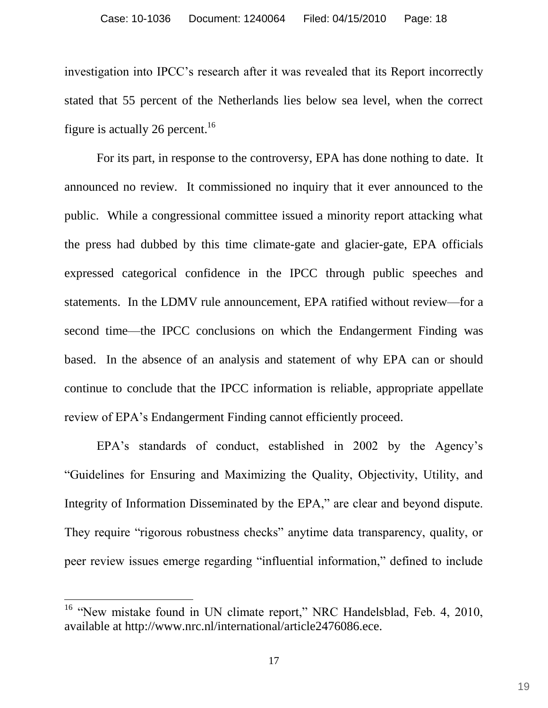investigation into IPCC's research after it was revealed that its Report incorrectly stated that 55 percent of the Netherlands lies below sea level, when the correct figure is actually 26 percent.<sup>16</sup>

For its part, in response to the controversy, EPA has done nothing to date. It announced no review. It commissioned no inquiry that it ever announced to the public. While a congressional committee issued a minority report attacking what the press had dubbed by this time climate-gate and glacier-gate, EPA officials expressed categorical confidence in the IPCC through public speeches and statements. In the LDMV rule announcement, EPA ratified without review—for a second time—the IPCC conclusions on which the Endangerment Finding was based. In the absence of an analysis and statement of why EPA can or should continue to conclude that the IPCC information is reliable, appropriate appellate review of EPA's Endangerment Finding cannot efficiently proceed.

EPA's standards of conduct, established in 2002 by the Agency's ―Guidelines for Ensuring and Maximizing the Quality, Objectivity, Utility, and Integrity of Information Disseminated by the EPA," are clear and beyond dispute. They require "rigorous robustness checks" anytime data transparency, quality, or peer review issues emerge regarding "influential information," defined to include

<sup>&</sup>lt;sup>16</sup> "New mistake found in UN climate report," NRC Handelsblad, Feb. 4, 2010, available at http://www.nrc.nl/international/article2476086.ece.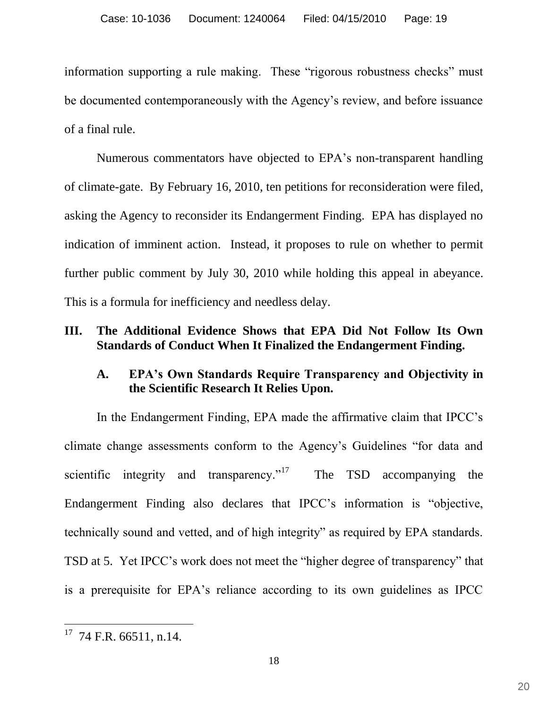information supporting a rule making. These "rigorous robustness checks" must be documented contemporaneously with the Agency's review, and before issuance of a final rule.

Numerous commentators have objected to EPA's non-transparent handling of climate-gate. By February 16, 2010, ten petitions for reconsideration were filed, asking the Agency to reconsider its Endangerment Finding. EPA has displayed no indication of imminent action. Instead, it proposes to rule on whether to permit further public comment by July 30, 2010 while holding this appeal in abeyance. This is a formula for inefficiency and needless delay.

#### **III. The Additional Evidence Shows that EPA Did Not Follow Its Own Standards of Conduct When It Finalized the Endangerment Finding.**

## **A. EPA's Own Standards Require Transparency and Objectivity in the Scientific Research It Relies Upon.**

In the Endangerment Finding, EPA made the affirmative claim that IPCC's climate change assessments conform to the Agency's Guidelines "for data and scientific integrity and transparency. $17$  The TSD accompanying the Endangerment Finding also declares that IPCC's information is "objective, technically sound and vetted, and of high integrity" as required by EPA standards. TSD at 5. Yet IPCC's work does not meet the "higher degree of transparency" that is a prerequisite for EPA's reliance according to its own guidelines as IPCC

 $17$  74 F.R. 66511, n.14.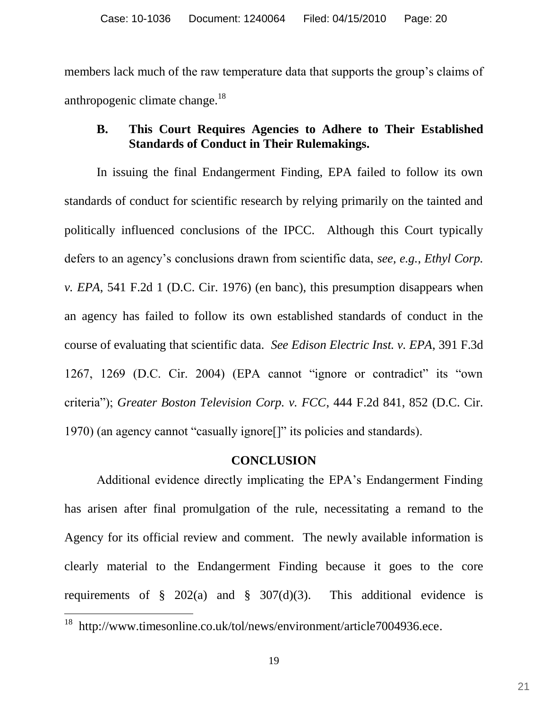members lack much of the raw temperature data that supports the group's claims of anthropogenic climate change.<sup>18</sup>

### **B. This Court Requires Agencies to Adhere to Their Established Standards of Conduct in Their Rulemakings.**

In issuing the final Endangerment Finding, EPA failed to follow its own standards of conduct for scientific research by relying primarily on the tainted and politically influenced conclusions of the IPCC. Although this Court typically defers to an agency's conclusions drawn from scientific data, *see, e.g.*, *Ethyl Corp. v. EPA*, 541 F.2d 1 (D.C. Cir. 1976) (en banc), this presumption disappears when an agency has failed to follow its own established standards of conduct in the course of evaluating that scientific data. *See Edison Electric Inst. v. EPA*, 391 F.3d  $1267$ ,  $1269$  (D.C. Cir. 2004) (EPA cannot "ignore or contradict" its "own criteria‖); *Greater Boston Television Corp. v. FCC*, 444 F.2d 841, 852 (D.C. Cir. 1970) (an agency cannot "casually ignore<sup>[]"</sup> its policies and standards).

#### **CONCLUSION**

Additional evidence directly implicating the EPA's Endangerment Finding has arisen after final promulgation of the rule, necessitating a remand to the Agency for its official review and comment. The newly available information is clearly material to the Endangerment Finding because it goes to the core requirements of  $\S$  202(a) and  $\S$  307(d)(3). This additional evidence is

<sup>&</sup>lt;sup>18</sup> http://www.timesonline.co.uk/tol/news/environment/article7004936.ece.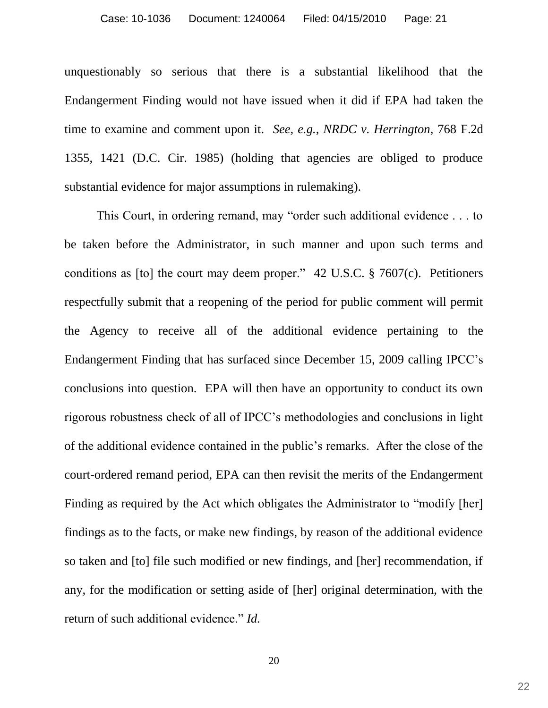unquestionably so serious that there is a substantial likelihood that the Endangerment Finding would not have issued when it did if EPA had taken the time to examine and comment upon it. *See, e.g.*, *NRDC v. Herrington*, 768 F.2d 1355, 1421 (D.C. Cir. 1985) (holding that agencies are obliged to produce substantial evidence for major assumptions in rulemaking).

This Court, in ordering remand, may "order such additional evidence  $\dots$  to be taken before the Administrator, in such manner and upon such terms and conditions as [to] the court may deem proper." 42 U.S.C.  $\S$  7607(c). Petitioners respectfully submit that a reopening of the period for public comment will permit the Agency to receive all of the additional evidence pertaining to the Endangerment Finding that has surfaced since December 15, 2009 calling IPCC's conclusions into question. EPA will then have an opportunity to conduct its own rigorous robustness check of all of IPCC's methodologies and conclusions in light of the additional evidence contained in the public's remarks. After the close of the court-ordered remand period, EPA can then revisit the merits of the Endangerment Finding as required by the Act which obligates the Administrator to "modify [her] findings as to the facts, or make new findings, by reason of the additional evidence so taken and [to] file such modified or new findings, and [her] recommendation, if any, for the modification or setting aside of [her] original determination, with the return of such additional evidence." *Id.*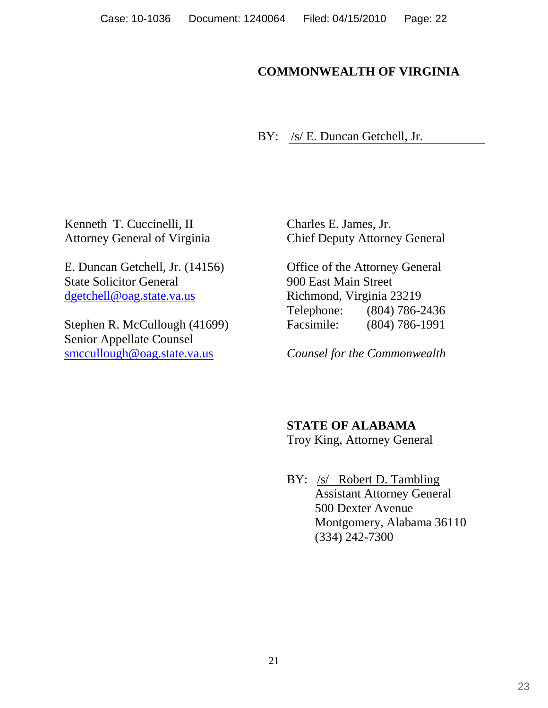# **COMMONWEALTH OF VIRGINIA**

BY: /s/ E. Duncan Getchell, Jr.

Kenneth T. Cuccinelli, II Attorney General of Virginia

E. Duncan Getchell, Jr. (14156) State Solicitor General [dgetchell@oag.state.va.us](mailto:dgetchell@oag.state.va.us)

Stephen R. McCullough (41699) Senior Appellate Counsel [smccullough@oag.state.va.us](mailto:smccullough@oag.state.va.us)

Charles E. James, Jr. Chief Deputy Attorney General

Office of the Attorney General 900 East Main Street Richmond, Virginia 23219 Telephone: (804) 786-2436 Facsimile: (804) 786-1991

*Counsel for the Commonwealth* 

**STATE OF ALABAMA**

Troy King, Attorney General

BY: /s/ Robert D. Tambling Assistant Attorney General 500 Dexter Avenue Montgomery, Alabama 36110 (334) 242-7300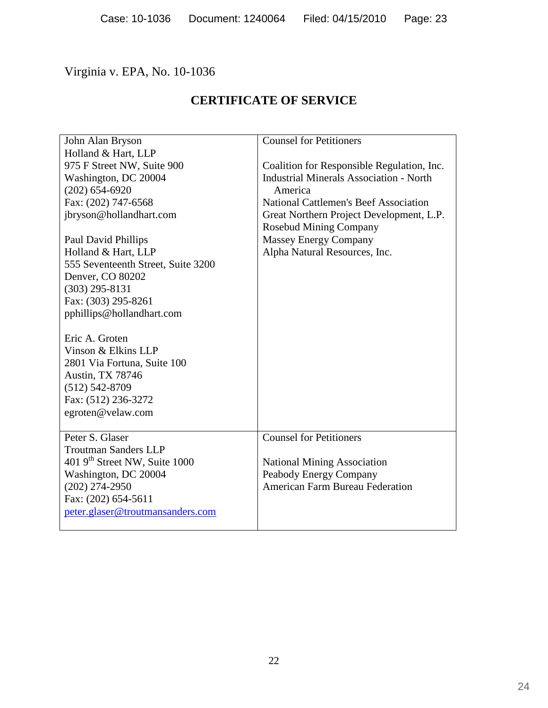# Virginia v. EPA, No. 10-1036

# **CERTIFICATE OF SERVICE**

| John Alan Bryson                          | <b>Counsel for Petitioners</b>                 |
|-------------------------------------------|------------------------------------------------|
| Holland & Hart, LLP                       |                                                |
| 975 F Street NW, Suite 900                | Coalition for Responsible Regulation, Inc.     |
| Washington, DC 20004                      | <b>Industrial Minerals Association - North</b> |
| $(202)$ 654-6920                          | America                                        |
| Fax: (202) 747-6568                       | <b>National Cattlemen's Beef Association</b>   |
| jbryson@hollandhart.com                   | Great Northern Project Development, L.P.       |
|                                           | <b>Rosebud Mining Company</b>                  |
| Paul David Phillips                       | <b>Massey Energy Company</b>                   |
| Holland & Hart, LLP                       | Alpha Natural Resources, Inc.                  |
| 555 Seventeenth Street, Suite 3200        |                                                |
| Denver, CO 80202                          |                                                |
| $(303)$ 295-8131                          |                                                |
| Fax: (303) 295-8261                       |                                                |
| pphillips@hollandhart.com                 |                                                |
|                                           |                                                |
| Eric A. Groten                            |                                                |
| Vinson & Elkins LLP                       |                                                |
| 2801 Via Fortuna, Suite 100               |                                                |
| Austin, TX 78746                          |                                                |
| $(512) 542 - 8709$                        |                                                |
| Fax: (512) 236-3272                       |                                                |
| egroten@velaw.com                         |                                                |
|                                           |                                                |
| Peter S. Glaser                           | <b>Counsel for Petitioners</b>                 |
| <b>Troutman Sanders LLP</b>               |                                                |
| 401 9 <sup>th</sup> Street NW, Suite 1000 | <b>National Mining Association</b>             |
| Washington, DC 20004                      | Peabody Energy Company                         |
| $(202)$ 274-2950                          | <b>American Farm Bureau Federation</b>         |
| Fax: (202) 654-5611                       |                                                |
| peter.glaser@troutmansanders.com          |                                                |
|                                           |                                                |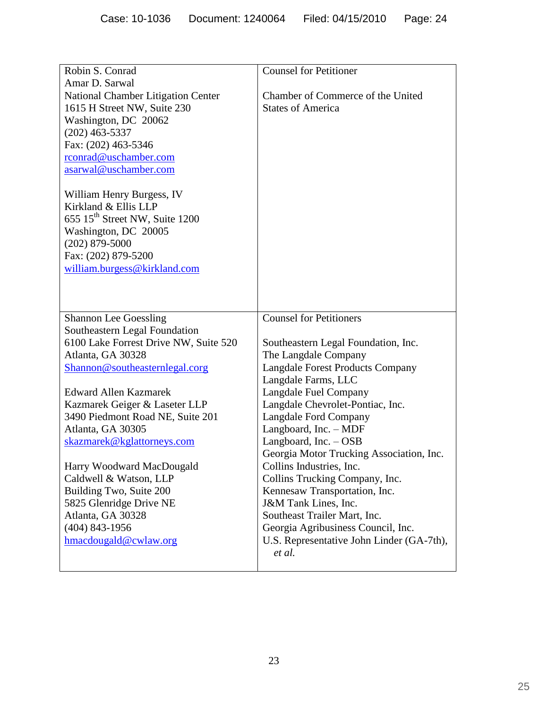| Robin S. Conrad                            | <b>Counsel for Petitioner</b>             |
|--------------------------------------------|-------------------------------------------|
| Amar D. Sarwal                             |                                           |
| <b>National Chamber Litigation Center</b>  | Chamber of Commerce of the United         |
| 1615 H Street NW, Suite 230                | <b>States of America</b>                  |
| Washington, DC 20062                       |                                           |
| $(202)$ 463-5337                           |                                           |
| Fax: (202) 463-5346                        |                                           |
| rconrad@uschamber.com                      |                                           |
| asarwal@uschamber.com                      |                                           |
|                                            |                                           |
| William Henry Burgess, IV                  |                                           |
| Kirkland & Ellis LLP                       |                                           |
| 655 15 <sup>th</sup> Street NW, Suite 1200 |                                           |
| Washington, DC 20005                       |                                           |
| $(202)$ 879-5000                           |                                           |
| Fax: (202) 879-5200                        |                                           |
| william.burgess@kirkland.com               |                                           |
|                                            |                                           |
|                                            |                                           |
|                                            |                                           |
| <b>Shannon Lee Goessling</b>               | <b>Counsel for Petitioners</b>            |
| Southeastern Legal Foundation              |                                           |
| 6100 Lake Forrest Drive NW, Suite 520      | Southeastern Legal Foundation, Inc.       |
| Atlanta, GA 30328                          | The Langdale Company                      |
| Shannon@southeasternlegal.corg             | <b>Langdale Forest Products Company</b>   |
|                                            | Langdale Farms, LLC                       |
| <b>Edward Allen Kazmarek</b>               | Langdale Fuel Company                     |
| Kazmarek Geiger & Laseter LLP              | Langdale Chevrolet-Pontiac, Inc.          |
| 3490 Piedmont Road NE, Suite 201           | Langdale Ford Company                     |
| Atlanta, GA 30305                          | Langboard, Inc. - MDF                     |
| skazmarek@kglattorneys.com                 | Langboard, $Inc. - OSB$                   |
|                                            | Georgia Motor Trucking Association, Inc.  |
| Harry Woodward MacDougald                  | Collins Industries, Inc.                  |
| Caldwell & Watson, LLP                     | Collins Trucking Company, Inc.            |
| Building Two, Suite 200                    | Kennesaw Transportation, Inc.             |
| 5825 Glenridge Drive NE                    | J&M Tank Lines, Inc.                      |
| Atlanta, GA 30328                          | Southeast Trailer Mart, Inc.              |
| $(404)$ 843-1956                           | Georgia Agribusiness Council, Inc.        |
| hmacdougald@cwlaw.org                      | U.S. Representative John Linder (GA-7th), |
|                                            | et al.                                    |
|                                            |                                           |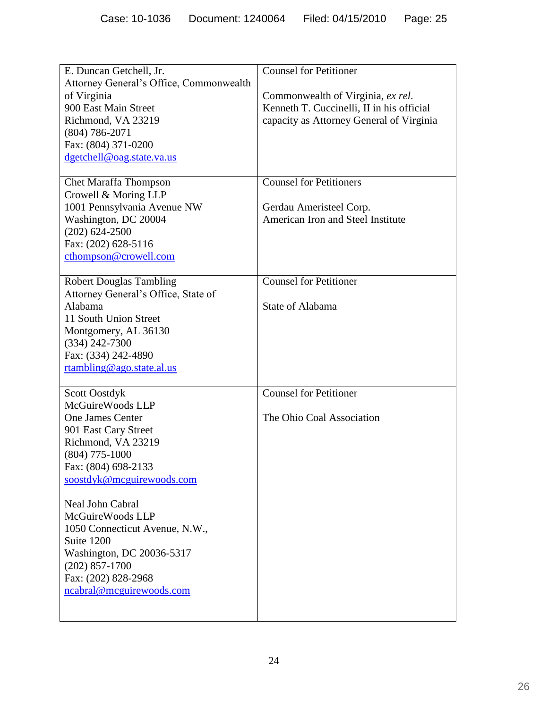|                                         | <b>Counsel for Petitioner</b>             |
|-----------------------------------------|-------------------------------------------|
| E. Duncan Getchell, Jr.                 |                                           |
| Attorney General's Office, Commonwealth |                                           |
| of Virginia                             | Commonwealth of Virginia, ex rel.         |
| 900 East Main Street                    | Kenneth T. Cuccinelli, II in his official |
| Richmond, VA 23219                      | capacity as Attorney General of Virginia  |
| $(804) 786 - 2071$                      |                                           |
| Fax: (804) 371-0200                     |                                           |
| dgetchell@oag.state.va.us               |                                           |
|                                         |                                           |
| <b>Chet Maraffa Thompson</b>            | <b>Counsel for Petitioners</b>            |
| Crowell & Moring LLP                    |                                           |
| 1001 Pennsylvania Avenue NW             | Gerdau Ameristeel Corp.                   |
| Washington, DC 20004                    | American Iron and Steel Institute         |
| $(202)$ 624-2500                        |                                           |
| Fax: (202) 628-5116                     |                                           |
| cthompson@crowell.com                   |                                           |
|                                         |                                           |
| <b>Robert Douglas Tambling</b>          | <b>Counsel for Petitioner</b>             |
| Attorney General's Office, State of     |                                           |
| Alabama                                 | State of Alabama                          |
| 11 South Union Street                   |                                           |
| Montgomery, AL 36130                    |                                           |
| $(334) 242 - 7300$                      |                                           |
| Fax: (334) 242-4890                     |                                           |
| rtambling@ago.state.al.us               |                                           |
|                                         |                                           |
| <b>Scott Oostdyk</b>                    | <b>Counsel for Petitioner</b>             |
| McGuireWoods LLP                        |                                           |
| <b>One James Center</b>                 | The Ohio Coal Association                 |
| 901 East Cary Street                    |                                           |
| Richmond, VA 23219                      |                                           |
| $(804)$ 775-1000                        |                                           |
| Fax: (804) 698-2133                     |                                           |
|                                         |                                           |
| soostdyk@mcguirewoods.com               |                                           |
| Neal John Cabral                        |                                           |
| McGuireWoods LLP                        |                                           |
| 1050 Connecticut Avenue, N.W.,          |                                           |
| Suite 1200                              |                                           |
|                                         |                                           |
| Washington, DC 20036-5317               |                                           |
| $(202)$ 857-1700                        |                                           |
| Fax: (202) 828-2968                     |                                           |
| ncabral@mcguirewoods.com                |                                           |
|                                         |                                           |
|                                         |                                           |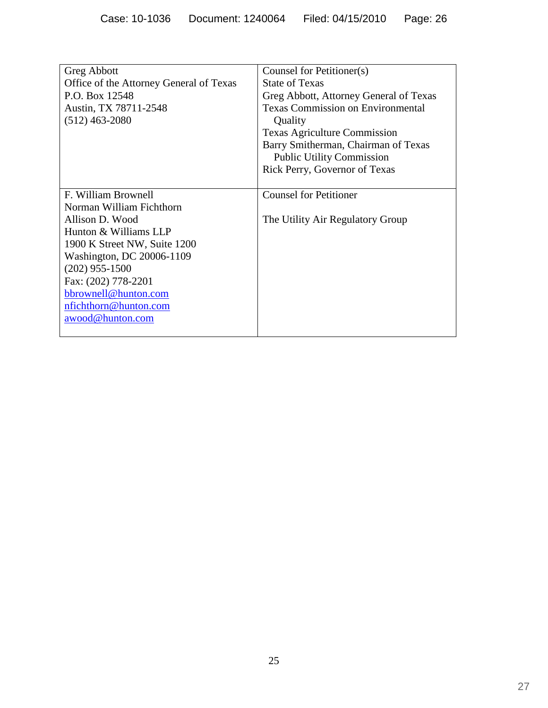| <b>Greg Abbott</b>                      | Counsel for Petitioner(s)                |
|-----------------------------------------|------------------------------------------|
| Office of the Attorney General of Texas | <b>State of Texas</b>                    |
| P.O. Box 12548                          | Greg Abbott, Attorney General of Texas   |
| Austin, TX 78711-2548                   | <b>Texas Commission on Environmental</b> |
| $(512)$ 463-2080                        | Quality                                  |
|                                         | <b>Texas Agriculture Commission</b>      |
|                                         | Barry Smitherman, Chairman of Texas      |
|                                         | <b>Public Utility Commission</b>         |
|                                         | Rick Perry, Governor of Texas            |
|                                         |                                          |
| F. William Brownell                     | <b>Counsel for Petitioner</b>            |
| Norman William Fichthorn                |                                          |
| Allison D. Wood                         | The Utility Air Regulatory Group         |
| Hunton & Williams LLP                   |                                          |
| 1900 K Street NW, Suite 1200            |                                          |
| Washington, DC 20006-1109               |                                          |
| $(202)$ 955-1500                        |                                          |
| Fax: (202) 778-2201                     |                                          |
| bbrownell@hunton.com                    |                                          |
| nfichthorn@hunton.com                   |                                          |
| awood@hunton.com                        |                                          |
|                                         |                                          |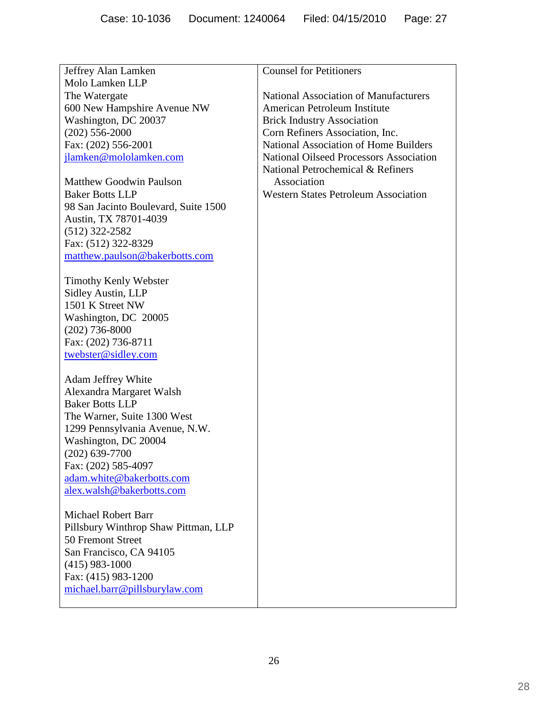| Jeffrey Alan Lamken                  | <b>Counsel for Petitioners</b>               |
|--------------------------------------|----------------------------------------------|
| Molo Lamken LLP                      |                                              |
| The Watergate                        | <b>National Association of Manufacturers</b> |
| 600 New Hampshire Avenue NW          | American Petroleum Institute                 |
| Washington, DC 20037                 | <b>Brick Industry Association</b>            |
| $(202)$ 556-2000                     | Corn Refiners Association, Inc.              |
| Fax: (202) 556-2001                  | <b>National Association of Home Builders</b> |
| jlamken@mololamken.com               | National Oilseed Processors Association      |
|                                      | National Petrochemical & Refiners            |
| <b>Matthew Goodwin Paulson</b>       | Association                                  |
| <b>Baker Botts LLP</b>               | <b>Western States Petroleum Association</b>  |
| 98 San Jacinto Boulevard, Suite 1500 |                                              |
| Austin, TX 78701-4039                |                                              |
| $(512)$ 322-2582                     |                                              |
| Fax: (512) 322-8329                  |                                              |
| matthew.paulson@bakerbotts.com       |                                              |
|                                      |                                              |
| <b>Timothy Kenly Webster</b>         |                                              |
| <b>Sidley Austin, LLP</b>            |                                              |
| 1501 K Street NW                     |                                              |
| Washington, DC 20005                 |                                              |
| $(202)$ 736-8000                     |                                              |
| Fax: (202) 736-8711                  |                                              |
| twebster@sidley.com                  |                                              |
|                                      |                                              |
| Adam Jeffrey White                   |                                              |
| Alexandra Margaret Walsh             |                                              |
| <b>Baker Botts LLP</b>               |                                              |
| The Warner, Suite 1300 West          |                                              |
| 1299 Pennsylvania Avenue, N.W.       |                                              |
| Washington, DC 20004                 |                                              |
| $(202)$ 639-7700                     |                                              |
| Fax: (202) 585-4097                  |                                              |
| adam.white@bakerbotts.com            |                                              |
| alex.walsh@bakerbotts.com            |                                              |
|                                      |                                              |
| <b>Michael Robert Barr</b>           |                                              |
| Pillsbury Winthrop Shaw Pittman, LLP |                                              |
| 50 Fremont Street                    |                                              |
| San Francisco, CA 94105              |                                              |
| $(415)$ 983-1000                     |                                              |
| Fax: (415) 983-1200                  |                                              |
| michael.barr@pillsburylaw.com        |                                              |
|                                      |                                              |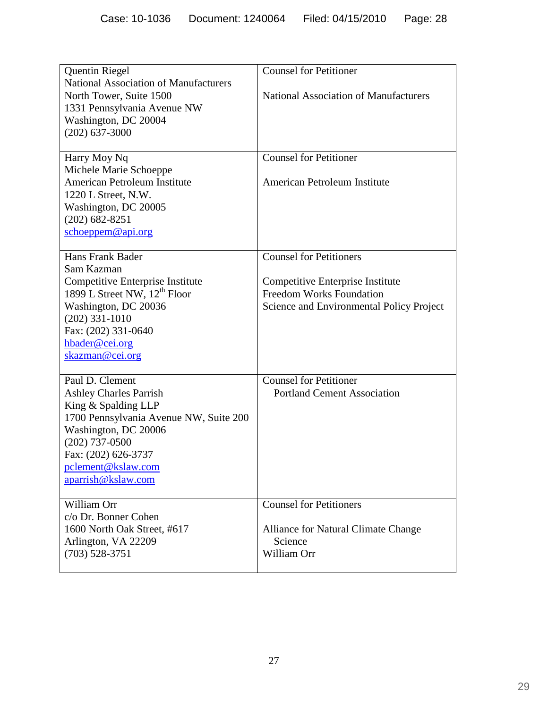|                                              | <b>Counsel for Petitioner</b>                |
|----------------------------------------------|----------------------------------------------|
| <b>Quentin Riegel</b>                        |                                              |
| <b>National Association of Manufacturers</b> |                                              |
| North Tower, Suite 1500                      | <b>National Association of Manufacturers</b> |
| 1331 Pennsylvania Avenue NW                  |                                              |
| Washington, DC 20004                         |                                              |
| $(202)$ 637-3000                             |                                              |
|                                              |                                              |
| Harry Moy Nq                                 | <b>Counsel for Petitioner</b>                |
| Michele Marie Schoeppe                       |                                              |
| American Petroleum Institute                 | American Petroleum Institute                 |
| 1220 L Street, N.W.                          |                                              |
| Washington, DC 20005                         |                                              |
| $(202)$ 682-8251                             |                                              |
| schoeppem@api.org                            |                                              |
|                                              |                                              |
| Hans Frank Bader                             | <b>Counsel for Petitioners</b>               |
| Sam Kazman                                   |                                              |
| Competitive Enterprise Institute             | Competitive Enterprise Institute             |
| 1899 L Street NW, 12 <sup>th</sup> Floor     | Freedom Works Foundation                     |
| Washington, DC 20036                         | Science and Environmental Policy Project     |
| $(202)$ 331-1010                             |                                              |
|                                              |                                              |
| Fax: (202) 331-0640                          |                                              |
| hbader@cei.org                               |                                              |
| skazman@cei.org                              |                                              |
| Paul D. Clement                              | <b>Counsel for Petitioner</b>                |
|                                              |                                              |
| <b>Ashley Charles Parrish</b>                | <b>Portland Cement Association</b>           |
| King & Spalding LLP                          |                                              |
| 1700 Pennsylvania Avenue NW, Suite 200       |                                              |
| Washington, DC 20006                         |                                              |
| $(202)$ 737-0500                             |                                              |
| Fax: (202) 626-3737                          |                                              |
| pclement@kslaw.com                           |                                              |
| aparrish@kslaw.com                           |                                              |
|                                              |                                              |
| William Orr                                  | <b>Counsel for Petitioners</b>               |
| c/o Dr. Bonner Cohen                         |                                              |
| 1600 North Oak Street, #617                  | Alliance for Natural Climate Change          |
| Arlington, VA 22209                          | Science                                      |
| $(703)$ 528-3751                             | William Orr                                  |
|                                              |                                              |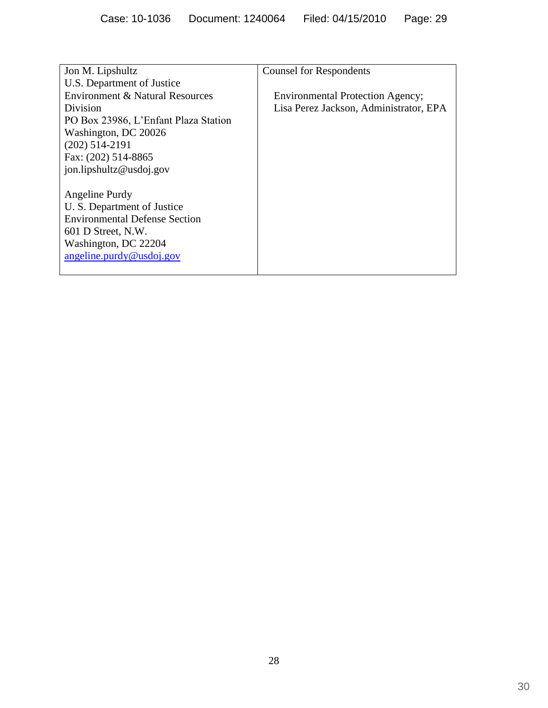| Jon M. Lipshultz                     | <b>Counsel for Respondents</b>          |
|--------------------------------------|-----------------------------------------|
| U.S. Department of Justice           |                                         |
| Environment & Natural Resources      | <b>Environmental Protection Agency;</b> |
| Division                             | Lisa Perez Jackson, Administrator, EPA  |
| PO Box 23986, L'Enfant Plaza Station |                                         |
| Washington, DC 20026                 |                                         |
| $(202)$ 514-2191                     |                                         |
| Fax: (202) 514-8865                  |                                         |
| jon.lipshultz@usdoj.gov              |                                         |
|                                      |                                         |
| Angeline Purdy                       |                                         |
| U. S. Department of Justice          |                                         |
| <b>Environmental Defense Section</b> |                                         |
| 601 D Street, N.W.                   |                                         |
| Washington, DC 22204                 |                                         |
| angeline.purdy@usdoj.gov             |                                         |
|                                      |                                         |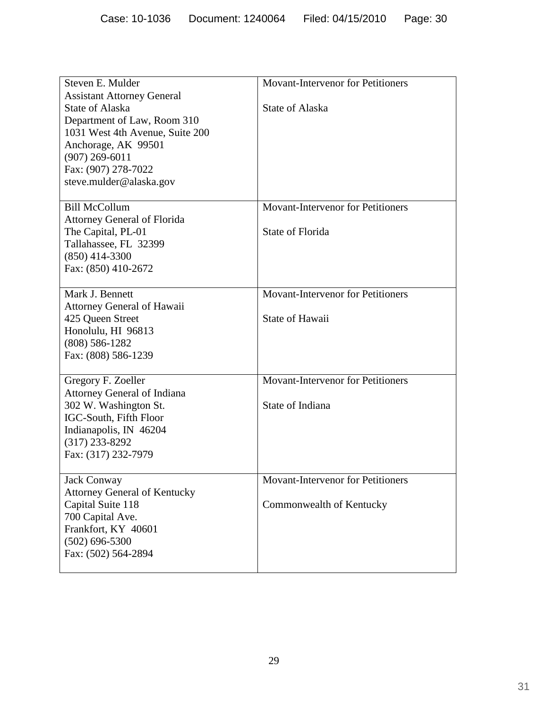| Steven E. Mulder<br><b>Assistant Attorney General</b><br><b>State of Alaska</b><br>Department of Law, Room 310<br>1031 West 4th Avenue, Suite 200<br>Anchorage, AK 99501<br>$(907)$ 269-6011<br>Fax: (907) 278-7022<br>steve.mulder@alaska.gov | <b>Movant-Intervenor for Petitioners</b><br><b>State of Alaska</b>   |
|------------------------------------------------------------------------------------------------------------------------------------------------------------------------------------------------------------------------------------------------|----------------------------------------------------------------------|
| <b>Bill McCollum</b><br><b>Attorney General of Florida</b><br>The Capital, PL-01<br>Tallahassee, FL 32399<br>$(850)$ 414-3300<br>Fax: (850) 410-2672                                                                                           | <b>Movant-Intervenor for Petitioners</b><br>State of Florida         |
| Mark J. Bennett<br><b>Attorney General of Hawaii</b><br>425 Queen Street<br>Honolulu, HI 96813<br>$(808)$ 586-1282<br>Fax: (808) 586-1239                                                                                                      | <b>Movant-Intervenor for Petitioners</b><br><b>State of Hawaii</b>   |
| Gregory F. Zoeller<br><b>Attorney General of Indiana</b><br>302 W. Washington St.<br>IGC-South, Fifth Floor<br>Indianapolis, IN 46204<br>$(317)$ 233-8292<br>Fax: (317) 232-7979                                                               | <b>Movant-Intervenor for Petitioners</b><br>State of Indiana         |
| <b>Jack Conway</b><br><b>Attorney General of Kentucky</b><br>Capital Suite 118<br>700 Capital Ave.<br>Frankfort, KY 40601<br>$(502) 696 - 5300$<br>Fax: (502) 564-2894                                                                         | <b>Movant-Intervenor for Petitioners</b><br>Commonwealth of Kentucky |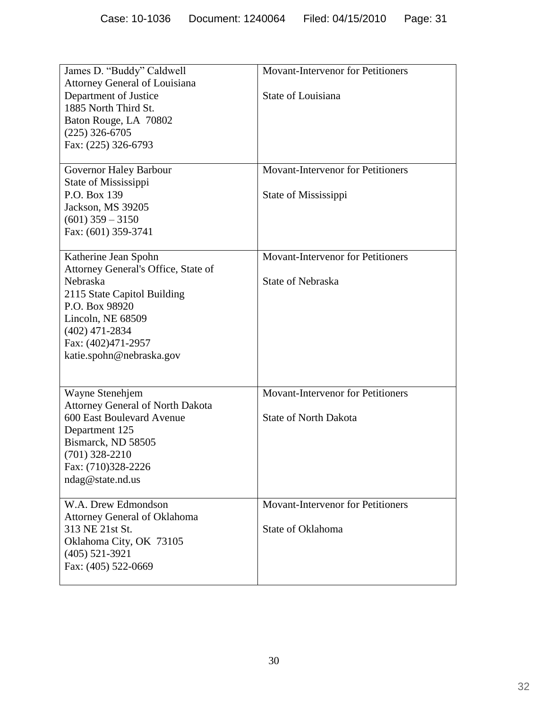| James D. "Buddy" Caldwell<br><b>Attorney General of Louisiana</b><br>Department of Justice<br>1885 North Third St.<br>Baton Rouge, LA 70802<br>$(225)$ 326-6705<br>Fax: (225) 326-6793                              | <b>Movant-Intervenor for Petitioners</b><br>State of Louisiana           |
|---------------------------------------------------------------------------------------------------------------------------------------------------------------------------------------------------------------------|--------------------------------------------------------------------------|
| Governor Haley Barbour<br>State of Mississippi<br>P.O. Box 139<br>Jackson, MS 39205<br>$(601)$ 359 – 3150<br>Fax: (601) 359-3741                                                                                    | <b>Movant-Intervenor for Petitioners</b><br>State of Mississippi         |
| Katherine Jean Spohn<br>Attorney General's Office, State of<br>Nebraska<br>2115 State Capitol Building<br>P.O. Box 98920<br>Lincoln, NE 68509<br>$(402)$ 471-2834<br>Fax: (402)471-2957<br>katie.spohn@nebraska.gov | <b>Movant-Intervenor for Petitioners</b><br><b>State of Nebraska</b>     |
| Wayne Stenehjem<br><b>Attorney General of North Dakota</b><br>600 East Boulevard Avenue<br>Department 125<br>Bismarck, ND 58505<br>$(701)$ 328-2210<br>Fax: (710)328-2226<br>ndag@state.nd.us                       | <b>Movant-Intervenor for Petitioners</b><br><b>State of North Dakota</b> |
| W.A. Drew Edmondson<br>Attorney General of Oklahoma<br>313 NE 21st St.<br>Oklahoma City, OK 73105<br>$(405)$ 521-3921<br>Fax: (405) 522-0669                                                                        | <b>Movant-Intervenor for Petitioners</b><br>State of Oklahoma            |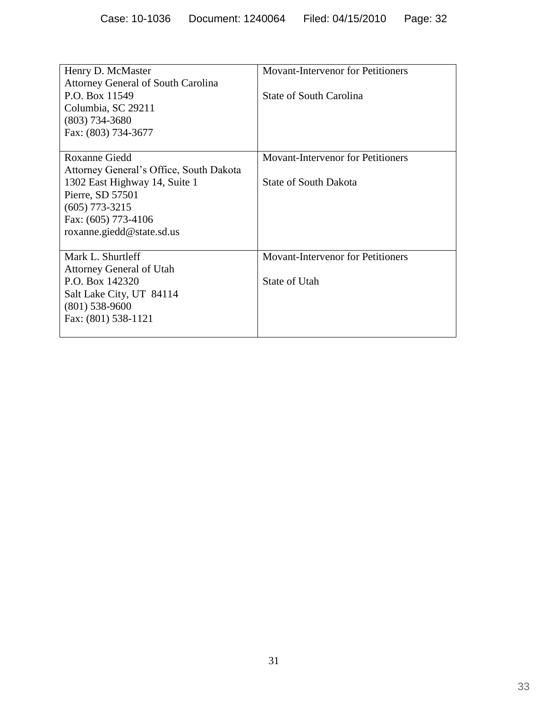| Henry D. McMaster                         | Movant-Intervenor for Petitioners        |
|-------------------------------------------|------------------------------------------|
| <b>Attorney General of South Carolina</b> |                                          |
| P.O. Box 11549                            | <b>State of South Carolina</b>           |
| Columbia, SC 29211                        |                                          |
| $(803)$ 734-3680                          |                                          |
| Fax: (803) 734-3677                       |                                          |
|                                           |                                          |
| <b>Roxanne Giedd</b>                      | <b>Movant-Intervenor for Petitioners</b> |
| Attorney General's Office, South Dakota   |                                          |
| 1302 East Highway 14, Suite 1             | <b>State of South Dakota</b>             |
| Pierre, SD 57501                          |                                          |
| $(605)$ 773-3215                          |                                          |
| Fax: (605) 773-4106                       |                                          |
| roxanne.giedd@state.sd.us                 |                                          |
|                                           |                                          |
| Mark L. Shurtleff                         | <b>Movant-Intervenor for Petitioners</b> |
| <b>Attorney General of Utah</b>           |                                          |
| P.O. Box 142320                           | State of Utah                            |
| Salt Lake City, UT 84114                  |                                          |
| $(801)$ 538-9600                          |                                          |
| Fax: (801) 538-1121                       |                                          |
|                                           |                                          |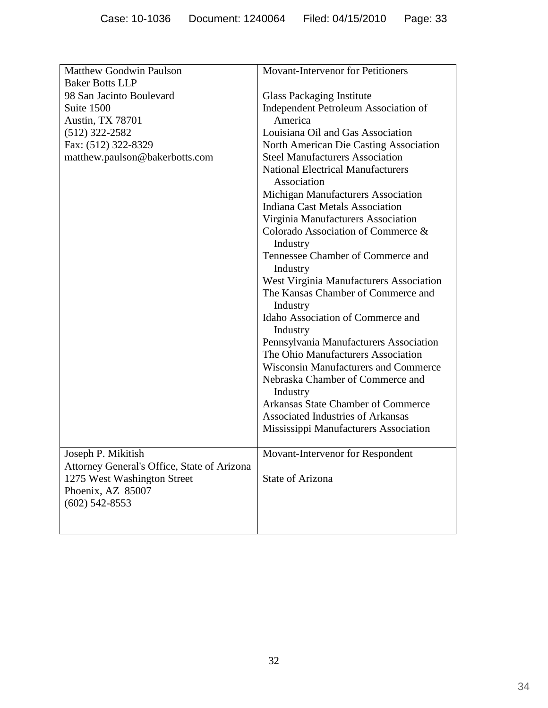| <b>Matthew Goodwin Paulson</b>              | <b>Movant-Intervenor for Petitioners</b>                |  |  |
|---------------------------------------------|---------------------------------------------------------|--|--|
| <b>Baker Botts LLP</b>                      |                                                         |  |  |
| 98 San Jacinto Boulevard                    | <b>Glass Packaging Institute</b>                        |  |  |
| Suite 1500                                  | Independent Petroleum Association of                    |  |  |
| <b>Austin, TX 78701</b>                     | America                                                 |  |  |
| $(512)$ 322-2582                            | Louisiana Oil and Gas Association                       |  |  |
| Fax: (512) 322-8329                         | North American Die Casting Association                  |  |  |
| matthew.paulson@bakerbotts.com              | <b>Steel Manufacturers Association</b>                  |  |  |
|                                             | <b>National Electrical Manufacturers</b><br>Association |  |  |
|                                             | Michigan Manufacturers Association                      |  |  |
|                                             | <b>Indiana Cast Metals Association</b>                  |  |  |
|                                             | Virginia Manufacturers Association                      |  |  |
|                                             | Colorado Association of Commerce &<br>Industry          |  |  |
|                                             | Tennessee Chamber of Commerce and                       |  |  |
|                                             | Industry                                                |  |  |
|                                             | West Virginia Manufacturers Association                 |  |  |
|                                             | The Kansas Chamber of Commerce and<br>Industry          |  |  |
|                                             | Idaho Association of Commerce and<br>Industry           |  |  |
|                                             | Pennsylvania Manufacturers Association                  |  |  |
|                                             | The Ohio Manufacturers Association                      |  |  |
|                                             | <b>Wisconsin Manufacturers and Commerce</b>             |  |  |
|                                             | Nebraska Chamber of Commerce and<br>Industry            |  |  |
|                                             | <b>Arkansas State Chamber of Commerce</b>               |  |  |
|                                             | Associated Industries of Arkansas                       |  |  |
|                                             | Mississippi Manufacturers Association                   |  |  |
|                                             |                                                         |  |  |
| Joseph P. Mikitish                          | Movant-Intervenor for Respondent                        |  |  |
| Attorney General's Office, State of Arizona |                                                         |  |  |
| 1275 West Washington Street                 | State of Arizona                                        |  |  |
| Phoenix, AZ 85007                           |                                                         |  |  |
| $(602)$ 542-8553                            |                                                         |  |  |
|                                             |                                                         |  |  |
|                                             |                                                         |  |  |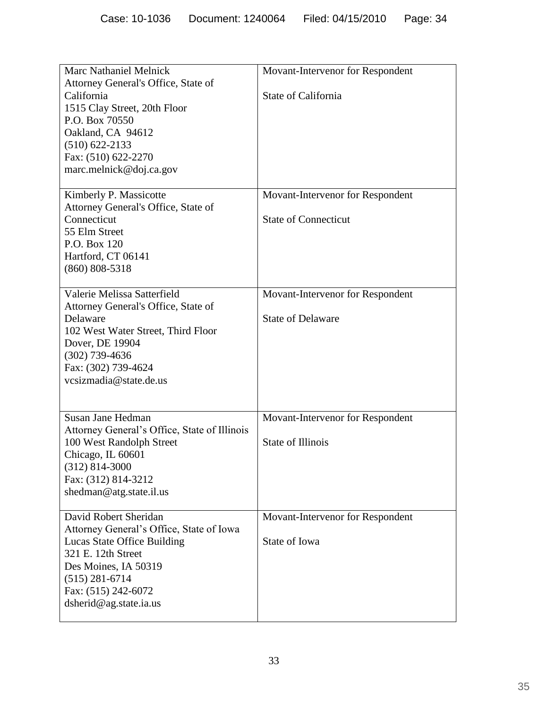| <b>Marc Nathaniel Melnick</b><br>Attorney General's Office, State of<br>California<br>1515 Clay Street, 20th Floor<br>P.O. Box 70550<br>Oakland, CA 94612<br>$(510)$ 622-2133<br>Fax: (510) 622-2270<br>marc.melnick@doj.ca.gov | Movant-Intervenor for Respondent<br>State of California         |  |  |
|---------------------------------------------------------------------------------------------------------------------------------------------------------------------------------------------------------------------------------|-----------------------------------------------------------------|--|--|
| Kimberly P. Massicotte<br>Attorney General's Office, State of<br>Connecticut<br>55 Elm Street<br>P.O. Box 120<br>Hartford, CT 06141<br>$(860) 808 - 5318$                                                                       | Movant-Intervenor for Respondent<br><b>State of Connecticut</b> |  |  |
| Valerie Melissa Satterfield<br>Attorney General's Office, State of<br>Delaware<br>102 West Water Street, Third Floor<br>Dover, DE 19904<br>$(302)$ 739-4636<br>Fax: (302) 739-4624<br>vcsizmadia@state.de.us                    | Movant-Intervenor for Respondent<br><b>State of Delaware</b>    |  |  |
| Susan Jane Hedman<br>Attorney General's Office, State of Illinois<br>100 West Randolph Street<br>Chicago, IL 60601<br>$(312) 814 - 3000$<br>Fax: (312) 814-3212<br>shedman@atg.state.il.us                                      | Movant-Intervenor for Respondent<br><b>State of Illinois</b>    |  |  |
| David Robert Sheridan<br>Attorney General's Office, State of Iowa<br>Lucas State Office Building<br>321 E. 12th Street<br>Des Moines, IA 50319<br>$(515)$ 281-6714<br>Fax: (515) 242-6072<br>dsherid@ag.state.ia.us             | Movant-Intervenor for Respondent<br>State of Iowa               |  |  |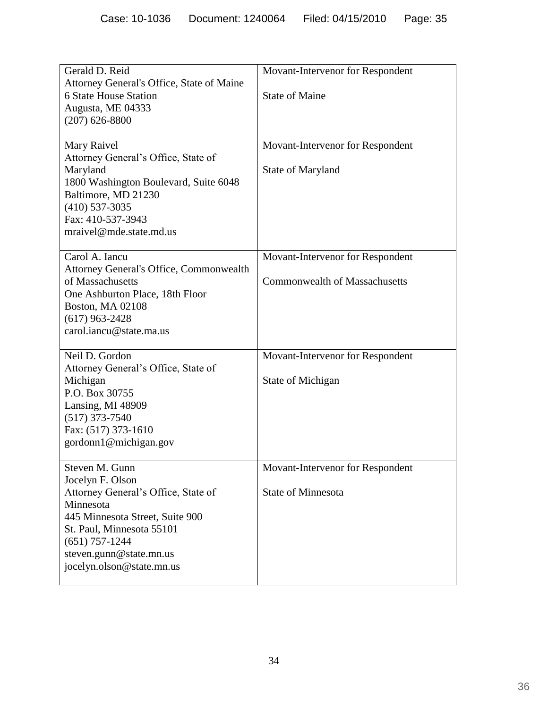| Gerald D. Reid<br>Attorney General's Office, State of Maine      | Movant-Intervenor for Respondent     |  |
|------------------------------------------------------------------|--------------------------------------|--|
| <b>6 State House Station</b><br>Augusta, ME 04333                | <b>State of Maine</b>                |  |
| $(207)$ 626-8800                                                 |                                      |  |
| Mary Raivel<br>Attorney General's Office, State of               | Movant-Intervenor for Respondent     |  |
| Maryland<br>1800 Washington Boulevard, Suite 6048                | State of Maryland                    |  |
| Baltimore, MD 21230<br>$(410)$ 537-3035                          |                                      |  |
| Fax: 410-537-3943                                                |                                      |  |
| mraivel@mde.state.md.us                                          |                                      |  |
| Carol A. Iancu<br><b>Attorney General's Office, Commonwealth</b> | Movant-Intervenor for Respondent     |  |
| of Massachusetts<br>One Ashburton Place, 18th Floor              | <b>Commonwealth of Massachusetts</b> |  |
| <b>Boston, MA 02108</b><br>$(617)$ 963-2428                      |                                      |  |
| carol.iancu@state.ma.us                                          |                                      |  |
| Neil D. Gordon<br>Attorney General's Office, State of            | Movant-Intervenor for Respondent     |  |
| Michigan                                                         | State of Michigan                    |  |
| P.O. Box 30755<br>Lansing, MI 48909                              |                                      |  |
| $(517)$ 373-7540<br>Fax: (517) 373-1610                          |                                      |  |
| gordonn1@michigan.gov                                            |                                      |  |
| Steven M. Gunn<br>Jocelyn F. Olson                               | Movant-Intervenor for Respondent     |  |
| Attorney General's Office, State of<br>Minnesota                 | <b>State of Minnesota</b>            |  |
| 445 Minnesota Street, Suite 900                                  |                                      |  |
| St. Paul, Minnesota 55101<br>$(651)$ 757-1244                    |                                      |  |
| steven.gunn@state.mn.us<br>jocelyn.olson@state.mn.us             |                                      |  |
|                                                                  |                                      |  |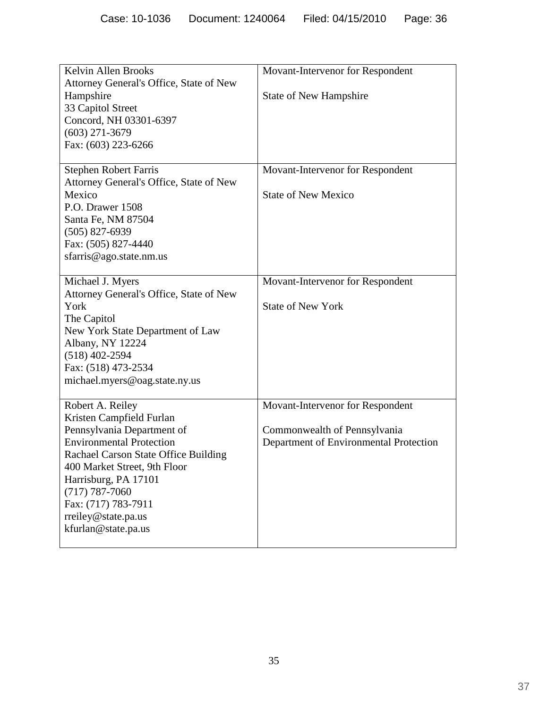| Kelvin Allen Brooks<br>Attorney General's Office, State of New<br>Hampshire<br>33 Capitol Street<br>Concord, NH 03301-6397<br>$(603)$ 271-3679<br>Fax: (603) 223-6266                                                                                                                                    | Movant-Intervenor for Respondent<br><b>State of New Hampshire</b>                                          |  |  |
|----------------------------------------------------------------------------------------------------------------------------------------------------------------------------------------------------------------------------------------------------------------------------------------------------------|------------------------------------------------------------------------------------------------------------|--|--|
| <b>Stephen Robert Farris</b><br>Attorney General's Office, State of New<br>Mexico<br>P.O. Drawer 1508<br>Santa Fe, NM 87504<br>$(505)$ 827-6939<br>Fax: (505) 827-4440<br>sfarris@ago.state.nm.us                                                                                                        | Movant-Intervenor for Respondent<br><b>State of New Mexico</b>                                             |  |  |
| Michael J. Myers<br>Attorney General's Office, State of New<br>York<br>The Capitol<br>New York State Department of Law<br>Albany, NY 12224<br>$(518)$ 402-2594<br>Fax: (518) 473-2534<br>michael.myers@oag.state.ny.us                                                                                   | Movant-Intervenor for Respondent<br><b>State of New York</b>                                               |  |  |
| Robert A. Reiley<br>Kristen Campfield Furlan<br>Pennsylvania Department of<br><b>Environmental Protection</b><br>Rachael Carson State Office Building<br>400 Market Street, 9th Floor<br>Harrisburg, PA 17101<br>$(717) 787 - 7060$<br>Fax: (717) 783-7911<br>rreiley@state.pa.us<br>kfurlan@state.pa.us | Movant-Intervenor for Respondent<br>Commonwealth of Pennsylvania<br>Department of Environmental Protection |  |  |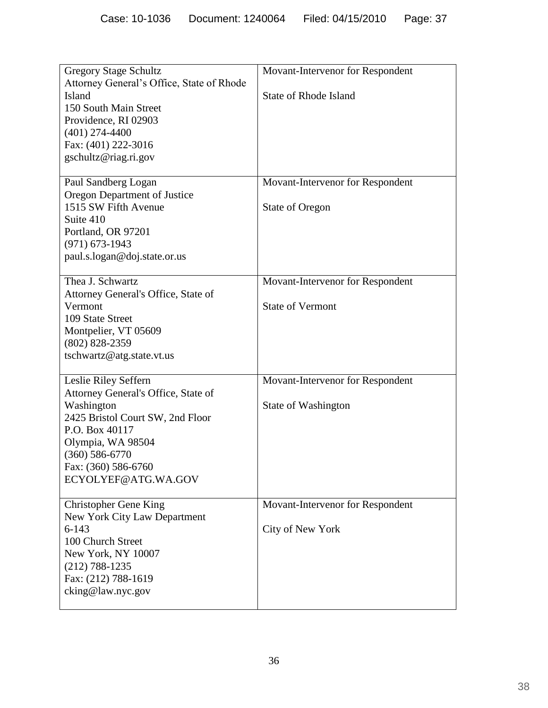| <b>Gregory Stage Schultz</b><br>Attorney General's Office, State of Rhode<br>Island<br>150 South Main Street<br>Providence, RI 02903<br>$(401)$ 274-4400<br>Fax: (401) 222-3016<br>gschultz@riag.ri.gov                  | Movant-Intervenor for Respondent<br><b>State of Rhode Island</b> |  |
|--------------------------------------------------------------------------------------------------------------------------------------------------------------------------------------------------------------------------|------------------------------------------------------------------|--|
| Paul Sandberg Logan<br>Oregon Department of Justice<br>1515 SW Fifth Avenue<br>Suite 410<br>Portland, OR 97201<br>$(971) 673 - 1943$<br>paul.s.logan@doj.state.or.us                                                     | Movant-Intervenor for Respondent<br><b>State of Oregon</b>       |  |
| Thea J. Schwartz<br>Attorney General's Office, State of<br>Vermont<br>109 State Street<br>Montpelier, VT 05609<br>$(802)$ 828-2359<br>tschwartz@atg.state.vt.us                                                          | Movant-Intervenor for Respondent<br><b>State of Vermont</b>      |  |
| Leslie Riley Seffern<br>Attorney General's Office, State of<br>Washington<br>2425 Bristol Court SW, 2nd Floor<br>P.O. Box 40117<br>Olympia, WA 98504<br>$(360) 586 - 6770$<br>Fax: (360) 586-6760<br>ECYOLYEF@ATG.WA.GOV | Movant-Intervenor for Respondent<br>State of Washington          |  |
| <b>Christopher Gene King</b><br>New York City Law Department<br>$6 - 143$<br>100 Church Street<br>New York, NY 10007<br>$(212) 788 - 1235$<br>Fax: (212) 788-1619<br>cking@law.nyc.gov                                   | Movant-Intervenor for Respondent<br>City of New York             |  |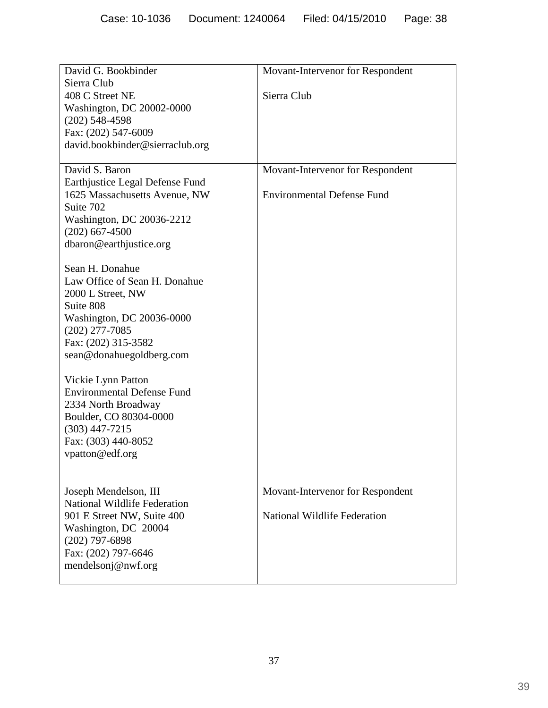| David G. Bookbinder                                                                                                                                                                    | Movant-Intervenor for Respondent  |  |  |  |
|----------------------------------------------------------------------------------------------------------------------------------------------------------------------------------------|-----------------------------------|--|--|--|
| Sierra Club<br>408 C Street NE<br>Washington, DC 20002-0000<br>$(202)$ 548-4598<br>Fax: (202) 547-6009<br>david.bookbinder@sierraclub.org                                              | Sierra Club                       |  |  |  |
| David S. Baron                                                                                                                                                                         | Movant-Intervenor for Respondent  |  |  |  |
| Earthjustice Legal Defense Fund<br>1625 Massachusetts Avenue, NW<br>Suite 702<br>Washington, DC 20036-2212<br>$(202)$ 667-4500<br>dbaron@earthjustice.org                              | <b>Environmental Defense Fund</b> |  |  |  |
| Sean H. Donahue<br>Law Office of Sean H. Donahue<br>2000 L Street, NW<br>Suite 808<br>Washington, DC 20036-0000<br>$(202)$ 277-7085<br>Fax: (202) 315-3582<br>sean@donahuegoldberg.com |                                   |  |  |  |
| Vickie Lynn Patton<br><b>Environmental Defense Fund</b><br>2334 North Broadway                                                                                                         |                                   |  |  |  |
| Boulder, CO 80304-0000<br>$(303)$ 447-7215                                                                                                                                             |                                   |  |  |  |
| Fax: (303) 440-8052<br>vpatton@edf.org                                                                                                                                                 |                                   |  |  |  |
| Joseph Mendelson, III                                                                                                                                                                  | Movant-Intervenor for Respondent  |  |  |  |
| <b>National Wildlife Federation</b><br>901 E Street NW, Suite 400<br>Washington, DC 20004<br>$(202)$ 797-6898<br>Fax: (202) 797-6646<br>mendelsonj@nwf.org                             | National Wildlife Federation      |  |  |  |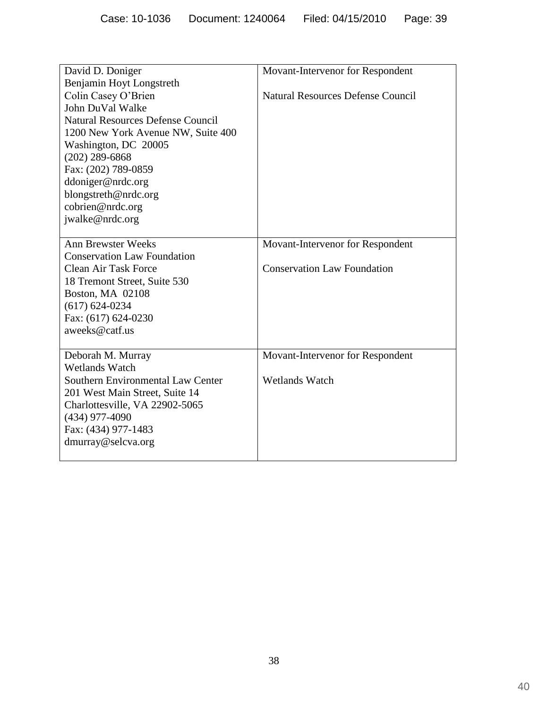| David D. Doniger                         | Movant-Intervenor for Respondent         |
|------------------------------------------|------------------------------------------|
| Benjamin Hoyt Longstreth                 |                                          |
| Colin Casey O'Brien                      | <b>Natural Resources Defense Council</b> |
| John DuVal Walke                         |                                          |
| <b>Natural Resources Defense Council</b> |                                          |
| 1200 New York Avenue NW, Suite 400       |                                          |
| Washington, DC 20005                     |                                          |
| $(202)$ 289-6868                         |                                          |
| Fax: (202) 789-0859                      |                                          |
| ddoniger@nrdc.org                        |                                          |
| blongstreth@nrdc.org                     |                                          |
| cobrien@nrdc.org                         |                                          |
| jwalke@nrdc.org                          |                                          |
|                                          |                                          |
| <b>Ann Brewster Weeks</b>                | Movant-Intervenor for Respondent         |
| <b>Conservation Law Foundation</b>       |                                          |
| <b>Clean Air Task Force</b>              | <b>Conservation Law Foundation</b>       |
| 18 Tremont Street, Suite 530             |                                          |
| Boston, MA 02108                         |                                          |
| $(617) 624 - 0234$                       |                                          |
| Fax: (617) 624-0230                      |                                          |
| aweeks@catf.us                           |                                          |
|                                          |                                          |
| Deborah M. Murray                        | Movant-Intervenor for Respondent         |
| <b>Wetlands Watch</b>                    |                                          |
| Southern Environmental Law Center        | <b>Wetlands Watch</b>                    |
| 201 West Main Street, Suite 14           |                                          |
| Charlottesville, VA 22902-5065           |                                          |
| $(434)$ 977-4090                         |                                          |
| Fax: (434) 977-1483                      |                                          |
| dmurray@selcva.org                       |                                          |
|                                          |                                          |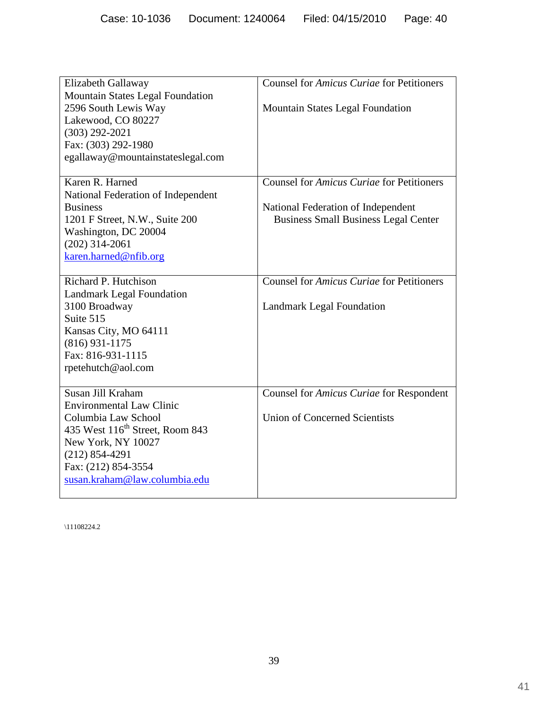| Elizabeth Gallaway                          | Counsel for Amicus Curiae for Petitioners   |  |  |
|---------------------------------------------|---------------------------------------------|--|--|
| <b>Mountain States Legal Foundation</b>     |                                             |  |  |
| 2596 South Lewis Way<br>Lakewood, CO 80227  | <b>Mountain States Legal Foundation</b>     |  |  |
| $(303)$ 292-2021                            |                                             |  |  |
| Fax: (303) 292-1980                         |                                             |  |  |
| egallaway@mountainstateslegal.com           |                                             |  |  |
|                                             |                                             |  |  |
| Karen R. Harned                             | Counsel for Amicus Curiae for Petitioners   |  |  |
| National Federation of Independent          |                                             |  |  |
| <b>Business</b>                             | National Federation of Independent          |  |  |
| 1201 F Street, N.W., Suite 200              | <b>Business Small Business Legal Center</b> |  |  |
| Washington, DC 20004                        |                                             |  |  |
| $(202)$ 314-2061                            |                                             |  |  |
| karen.harned@nfib.org                       |                                             |  |  |
| Richard P. Hutchison                        | Counsel for Amicus Curiae for Petitioners   |  |  |
| <b>Landmark Legal Foundation</b>            |                                             |  |  |
| 3100 Broadway                               | <b>Landmark Legal Foundation</b>            |  |  |
| Suite 515                                   |                                             |  |  |
| Kansas City, MO 64111                       |                                             |  |  |
| $(816)$ 931-1175                            |                                             |  |  |
| Fax: 816-931-1115                           |                                             |  |  |
| rpetehutch@aol.com                          |                                             |  |  |
| Susan Jill Kraham                           | Counsel for Amicus Curiae for Respondent    |  |  |
| <b>Environmental Law Clinic</b>             |                                             |  |  |
| Columbia Law School                         | <b>Union of Concerned Scientists</b>        |  |  |
| 435 West 116 <sup>th</sup> Street, Room 843 |                                             |  |  |
| New York, NY 10027                          |                                             |  |  |
| $(212) 854 - 4291$                          |                                             |  |  |
| Fax: (212) 854-3554                         |                                             |  |  |
| susan.kraham@law.columbia.edu               |                                             |  |  |
|                                             |                                             |  |  |

\11108224.2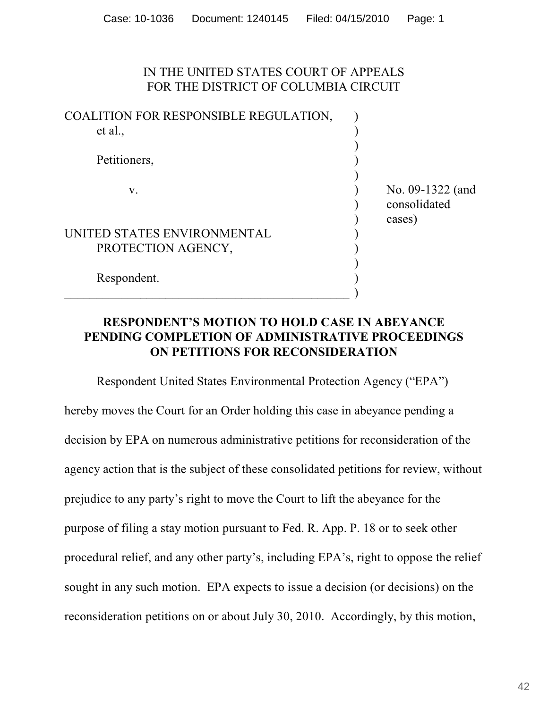#### IN THE UNITED STATES COURT OF APPEALS FOR THE DISTRICT OF COLUMBIA CIRCUIT

| COALITION FOR RESPONSIBLE REGULATION, |                  |
|---------------------------------------|------------------|
| et al.,                               |                  |
|                                       |                  |
| Petitioners,                          |                  |
|                                       |                  |
| V.                                    | No. 09-1322 (and |
|                                       | consolidated     |
|                                       | cases)           |
| UNITED STATES ENVIRONMENTAL           |                  |
| PROTECTION AGENCY,                    |                  |
|                                       |                  |
| Respondent.                           |                  |
|                                       |                  |
|                                       |                  |

## **RESPONDENT'S MOTION TO HOLD CASE IN ABEYANCE PENDING COMPLETION OF ADMINISTRATIVE PROCEEDINGS ON PETITIONS FOR RECONSIDERATION**

Respondent United States Environmental Protection Agency ("EPA") hereby moves the Court for an Order holding this case in abeyance pending a decision by EPA on numerous administrative petitions for reconsideration of the agency action that is the subject of these consolidated petitions for review, without prejudice to any party's right to move the Court to lift the abeyance for the purpose of filing a stay motion pursuant to Fed. R. App. P. 18 or to seek other procedural relief, and any other party's, including EPA's, right to oppose the relief sought in any such motion. EPA expects to issue a decision (or decisions) on the reconsideration petitions on or about July 30, 2010. Accordingly, by this motion,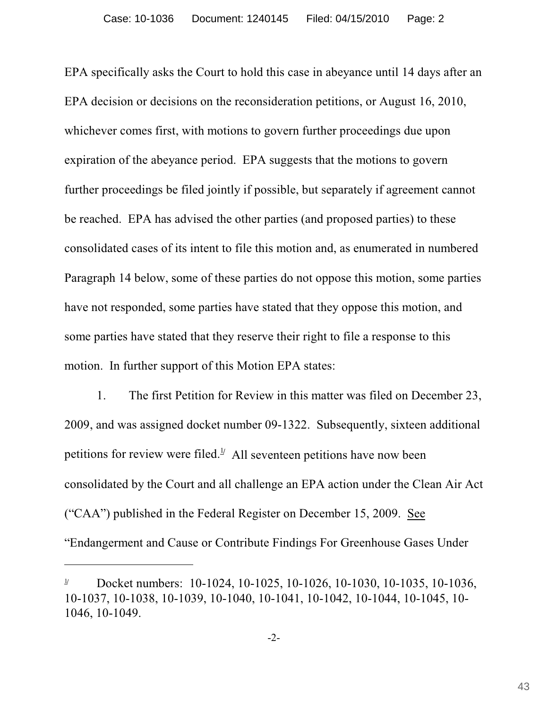EPA specifically asks the Court to hold this case in abeyance until 14 days after an EPA decision or decisions on the reconsideration petitions, or August 16, 2010, whichever comes first, with motions to govern further proceedings due upon expiration of the abeyance period. EPA suggests that the motions to govern further proceedings be filed jointly if possible, but separately if agreement cannot be reached. EPA has advised the other parties (and proposed parties) to these consolidated cases of its intent to file this motion and, as enumerated in numbered Paragraph 14 below, some of these parties do not oppose this motion, some parties have not responded, some parties have stated that they oppose this motion, and some parties have stated that they reserve their right to file a response to this motion. In further support of this Motion EPA states:

1. The first Petition for Review in this matter was filed on December 23, 2009, and was assigned docket number 09-1322. Subsequently, sixteen additional petitions for review were filed.<sup> $\frac{1}{2}$ </sup> All seventeen petitions have now been consolidated by the Court and all challenge an EPA action under the Clean Air Act ("CAA") published in the Federal Register on December 15, 2009. See "Endangerment and Cause or Contribute Findings For Greenhouse Gases Under

Docket numbers: 10-1024, 10-1025, 10-1026, 10-1030, 10-1035, 10-1036, 1**/** 10-1037, 10-1038, 10-1039, 10-1040, 10-1041, 10-1042, 10-1044, 10-1045, 10- 1046, 10-1049.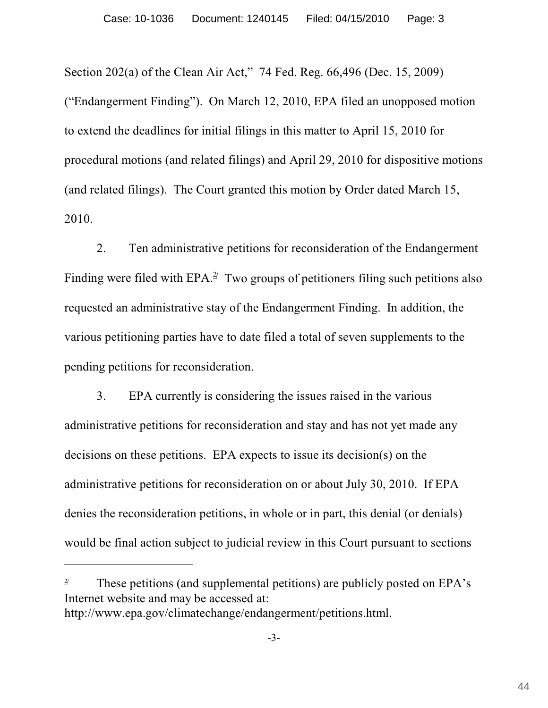Section 202(a) of the Clean Air Act," 74 Fed. Reg. 66,496 (Dec. 15, 2009) ("Endangerment Finding"). On March 12, 2010, EPA filed an unopposed motion to extend the deadlines for initial filings in this matter to April 15, 2010 for procedural motions (and related filings) and April 29, 2010 for dispositive motions (and related filings). The Court granted this motion by Order dated March 15, 2010.

2. Ten administrative petitions for reconsideration of the Endangerment Finding were filed with  $EPA.<sup>2</sup>$  Two groups of petitioners filing such petitions also requested an administrative stay of the Endangerment Finding. In addition, the various petitioning parties have to date filed a total of seven supplements to the pending petitions for reconsideration.

3. EPA currently is considering the issues raised in the various administrative petitions for reconsideration and stay and has not yet made any decisions on these petitions. EPA expects to issue its decision(s) on the administrative petitions for reconsideration on or about July 30, 2010. If EPA denies the reconsideration petitions, in whole or in part, this denial (or denials) would be final action subject to judicial review in this Court pursuant to sections

<sup>&</sup>lt;sup>2</sup> These petitions (and supplemental petitions) are publicly posted on EPA's Internet website and may be accessed at: http://www.epa.gov/climatechange/endangerment/petitions.html.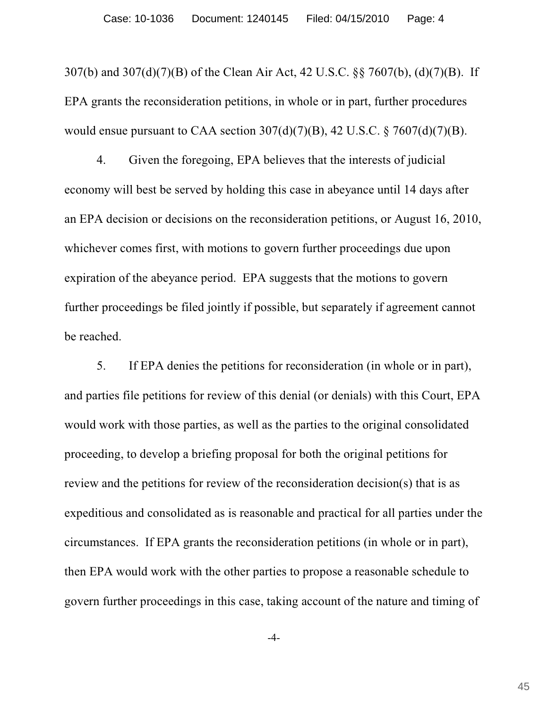307(b) and 307(d)(7)(B) of the Clean Air Act, 42 U.S.C. §§ 7607(b), (d)(7)(B). If EPA grants the reconsideration petitions, in whole or in part, further procedures would ensue pursuant to CAA section  $307(d)(7)(B)$ , 42 U.S.C. § 7607(d)(7)(B).

4. Given the foregoing, EPA believes that the interests of judicial economy will best be served by holding this case in abeyance until 14 days after an EPA decision or decisions on the reconsideration petitions, or August 16, 2010, whichever comes first, with motions to govern further proceedings due upon expiration of the abeyance period. EPA suggests that the motions to govern further proceedings be filed jointly if possible, but separately if agreement cannot be reached.

5. If EPA denies the petitions for reconsideration (in whole or in part), and parties file petitions for review of this denial (or denials) with this Court, EPA would work with those parties, as well as the parties to the original consolidated proceeding, to develop a briefing proposal for both the original petitions for review and the petitions for review of the reconsideration decision(s) that is as expeditious and consolidated as is reasonable and practical for all parties under the circumstances. If EPA grants the reconsideration petitions (in whole or in part), then EPA would work with the other parties to propose a reasonable schedule to govern further proceedings in this case, taking account of the nature and timing of

-4-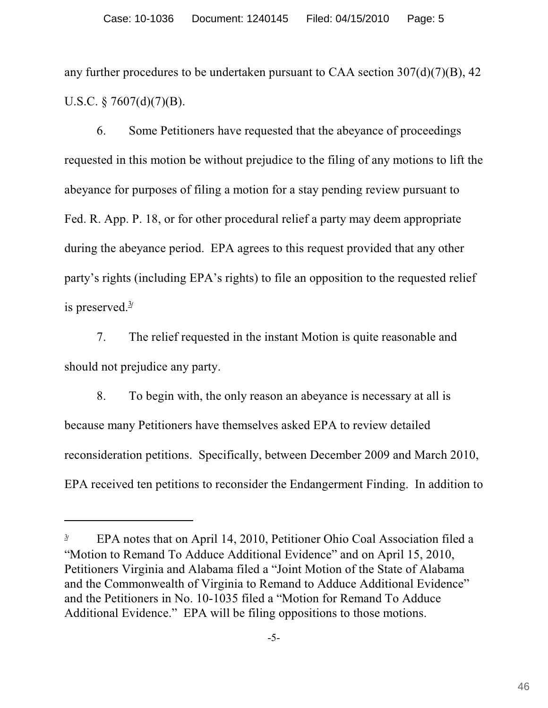any further procedures to be undertaken pursuant to CAA section  $307(d)(7)(B)$ , 42 U.S.C.  $\S$  7607(d)(7)(B).

6. Some Petitioners have requested that the abeyance of proceedings requested in this motion be without prejudice to the filing of any motions to lift the abeyance for purposes of filing a motion for a stay pending review pursuant to Fed. R. App. P. 18, or for other procedural relief a party may deem appropriate during the abeyance period. EPA agrees to this request provided that any other party's rights (including EPA's rights) to file an opposition to the requested relief is preserved. 3**/**

7. The relief requested in the instant Motion is quite reasonable and should not prejudice any party.

8. To begin with, the only reason an abeyance is necessary at all is because many Petitioners have themselves asked EPA to review detailed reconsideration petitions. Specifically, between December 2009 and March 2010, EPA received ten petitions to reconsider the Endangerment Finding. In addition to

<sup>&</sup>lt;sup>3*/</sup>* EPA notes that on April 14, 2010, Petitioner Ohio Coal Association filed a</sup> "Motion to Remand To Adduce Additional Evidence" and on April 15, 2010, Petitioners Virginia and Alabama filed a "Joint Motion of the State of Alabama and the Commonwealth of Virginia to Remand to Adduce Additional Evidence" and the Petitioners in No. 10-1035 filed a "Motion for Remand To Adduce Additional Evidence." EPA will be filing oppositions to those motions.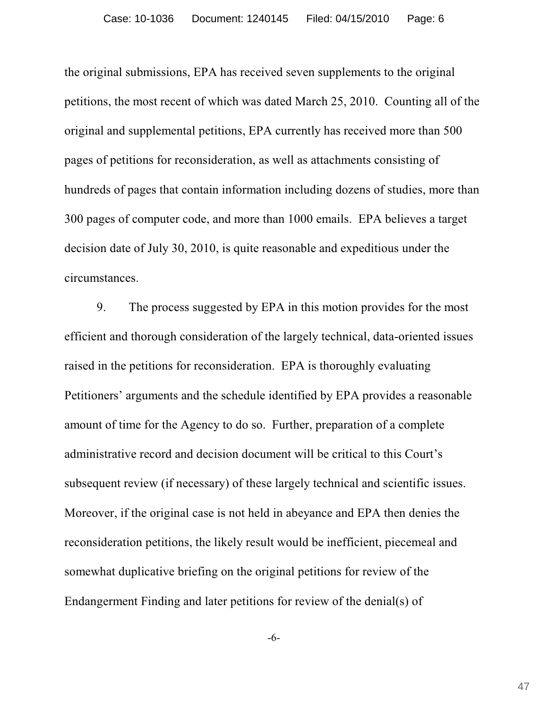the original submissions, EPA has received seven supplements to the original petitions, the most recent of which was dated March 25, 2010. Counting all of the original and supplemental petitions, EPA currently has received more than 500 pages of petitions for reconsideration, as well as attachments consisting of hundreds of pages that contain information including dozens of studies, more than 300 pages of computer code, and more than 1000 emails. EPA believes a target decision date of July 30, 2010, is quite reasonable and expeditious under the circumstances.

9. The process suggested by EPA in this motion provides for the most efficient and thorough consideration of the largely technical, data-oriented issues raised in the petitions for reconsideration. EPA is thoroughly evaluating Petitioners' arguments and the schedule identified by EPA provides a reasonable amount of time for the Agency to do so. Further, preparation of a complete administrative record and decision document will be critical to this Court's subsequent review (if necessary) of these largely technical and scientific issues. Moreover, if the original case is not held in abeyance and EPA then denies the reconsideration petitions, the likely result would be inefficient, piecemeal and somewhat duplicative briefing on the original petitions for review of the Endangerment Finding and later petitions for review of the denial(s) of

-6-

47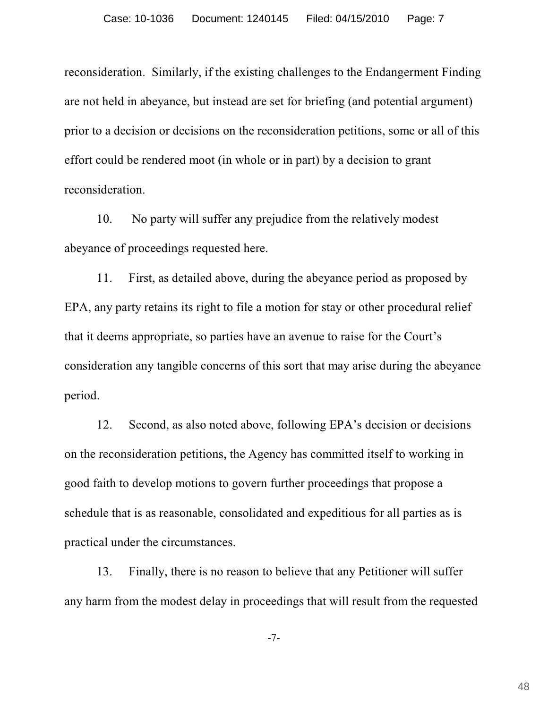reconsideration. Similarly, if the existing challenges to the Endangerment Finding are not held in abeyance, but instead are set for briefing (and potential argument) prior to a decision or decisions on the reconsideration petitions, some or all of this effort could be rendered moot (in whole or in part) by a decision to grant reconsideration.

10. No party will suffer any prejudice from the relatively modest abeyance of proceedings requested here.

11. First, as detailed above, during the abeyance period as proposed by EPA, any party retains its right to file a motion for stay or other procedural relief that it deems appropriate, so parties have an avenue to raise for the Court's consideration any tangible concerns of this sort that may arise during the abeyance period.

12. Second, as also noted above, following EPA's decision or decisions on the reconsideration petitions, the Agency has committed itself to working in good faith to develop motions to govern further proceedings that propose a schedule that is as reasonable, consolidated and expeditious for all parties as is practical under the circumstances.

13. Finally, there is no reason to believe that any Petitioner will suffer any harm from the modest delay in proceedings that will result from the requested

-7-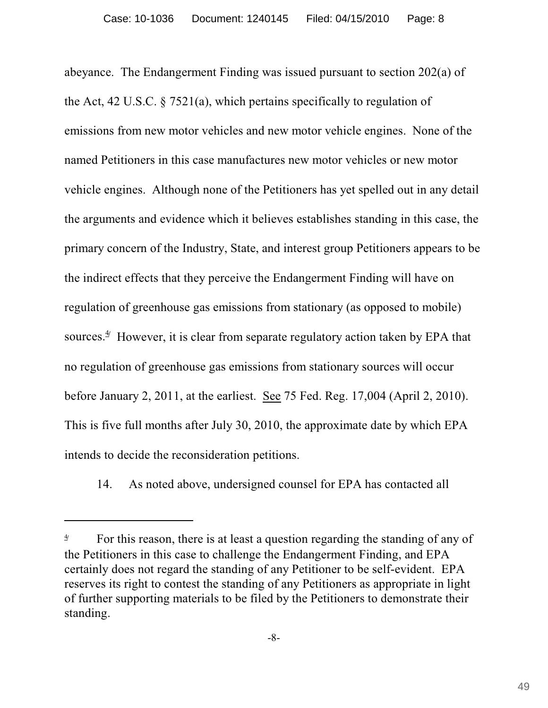abeyance. The Endangerment Finding was issued pursuant to section 202(a) of the Act, 42 U.S.C. § 7521(a), which pertains specifically to regulation of emissions from new motor vehicles and new motor vehicle engines. None of the named Petitioners in this case manufactures new motor vehicles or new motor vehicle engines. Although none of the Petitioners has yet spelled out in any detail the arguments and evidence which it believes establishes standing in this case, the primary concern of the Industry, State, and interest group Petitioners appears to be the indirect effects that they perceive the Endangerment Finding will have on regulation of greenhouse gas emissions from stationary (as opposed to mobile) sources. $4$ <sup> $\mu$ </sup> However, it is clear from separate regulatory action taken by EPA that no regulation of greenhouse gas emissions from stationary sources will occur before January 2, 2011, at the earliest. See 75 Fed. Reg. 17,004 (April 2, 2010). This is five full months after July 30, 2010, the approximate date by which EPA intends to decide the reconsideration petitions.

14. As noted above, undersigned counsel for EPA has contacted all

<sup>&</sup>lt;sup>4</sup> For this reason, there is at least a question regarding the standing of any of the Petitioners in this case to challenge the Endangerment Finding, and EPA certainly does not regard the standing of any Petitioner to be self-evident. EPA reserves its right to contest the standing of any Petitioners as appropriate in light of further supporting materials to be filed by the Petitioners to demonstrate their standing.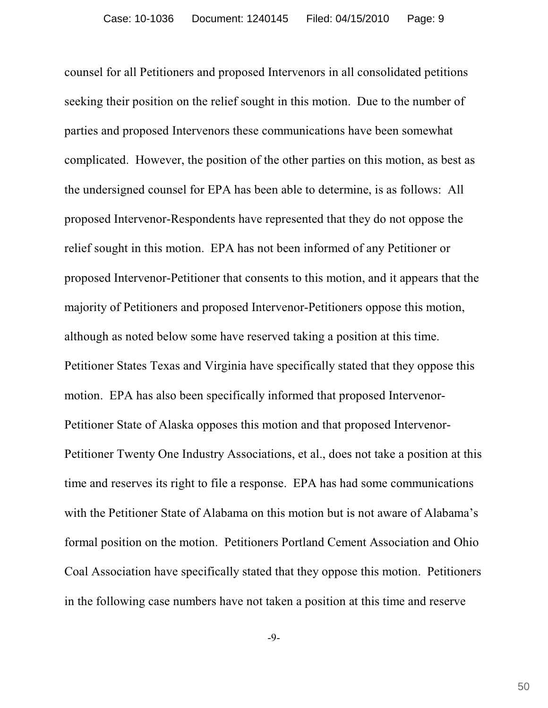counsel for all Petitioners and proposed Intervenors in all consolidated petitions seeking their position on the relief sought in this motion. Due to the number of parties and proposed Intervenors these communications have been somewhat complicated. However, the position of the other parties on this motion, as best as the undersigned counsel for EPA has been able to determine, is as follows: All proposed Intervenor-Respondents have represented that they do not oppose the relief sought in this motion. EPA has not been informed of any Petitioner or proposed Intervenor-Petitioner that consents to this motion, and it appears that the majority of Petitioners and proposed Intervenor-Petitioners oppose this motion, although as noted below some have reserved taking a position at this time. Petitioner States Texas and Virginia have specifically stated that they oppose this motion. EPA has also been specifically informed that proposed Intervenor-Petitioner State of Alaska opposes this motion and that proposed Intervenor-Petitioner Twenty One Industry Associations, et al., does not take a position at this time and reserves its right to file a response. EPA has had some communications with the Petitioner State of Alabama on this motion but is not aware of Alabama's formal position on the motion. Petitioners Portland Cement Association and Ohio Coal Association have specifically stated that they oppose this motion. Petitioners in the following case numbers have not taken a position at this time and reserve

-9-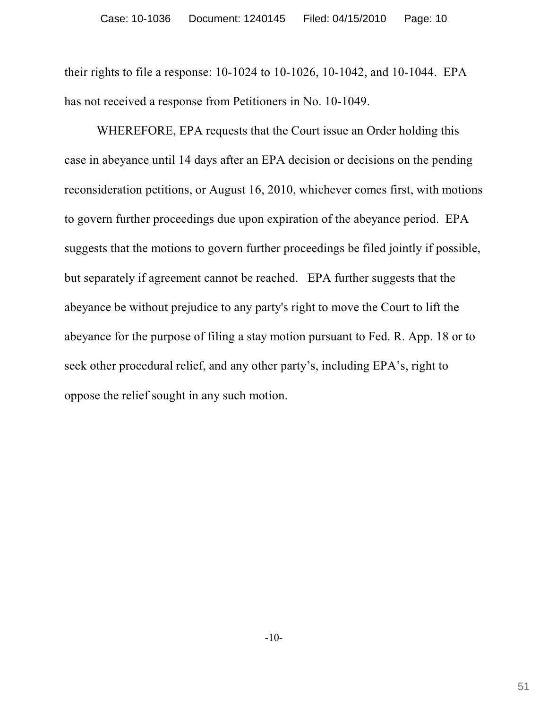their rights to file a response: 10-1024 to 10-1026, 10-1042, and 10-1044. EPA has not received a response from Petitioners in No. 10-1049.

WHEREFORE, EPA requests that the Court issue an Order holding this case in abeyance until 14 days after an EPA decision or decisions on the pending reconsideration petitions, or August 16, 2010, whichever comes first, with motions to govern further proceedings due upon expiration of the abeyance period. EPA suggests that the motions to govern further proceedings be filed jointly if possible, but separately if agreement cannot be reached. EPA further suggests that the abeyance be without prejudice to any party's right to move the Court to lift the abeyance for the purpose of filing a stay motion pursuant to Fed. R. App. 18 or to seek other procedural relief, and any other party's, including EPA's, right to oppose the relief sought in any such motion.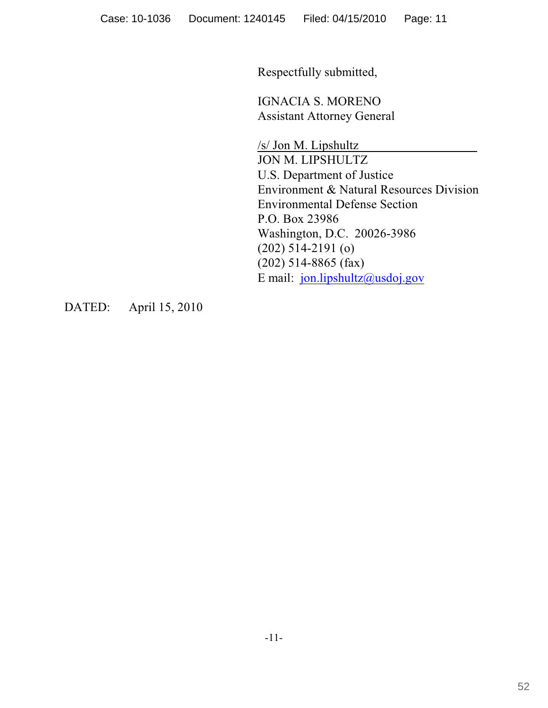Respectfully submitted,

IGNACIA S. MORENO Assistant Attorney General

/s/ Jon M. Lipshultz JON M. LIPSHULTZ U.S. Department of Justice Environment & Natural Resources Division Environmental Defense Section P.O. Box 23986 Washington, D.C. 20026-3986 (202) 514-2191 (o) (202) 514-8865 (fax) E mail: [jon.lipshultz@usdoj.gov](mailto:jon.lipshultz@usdoj.gov)

DATED: April 15, 2010